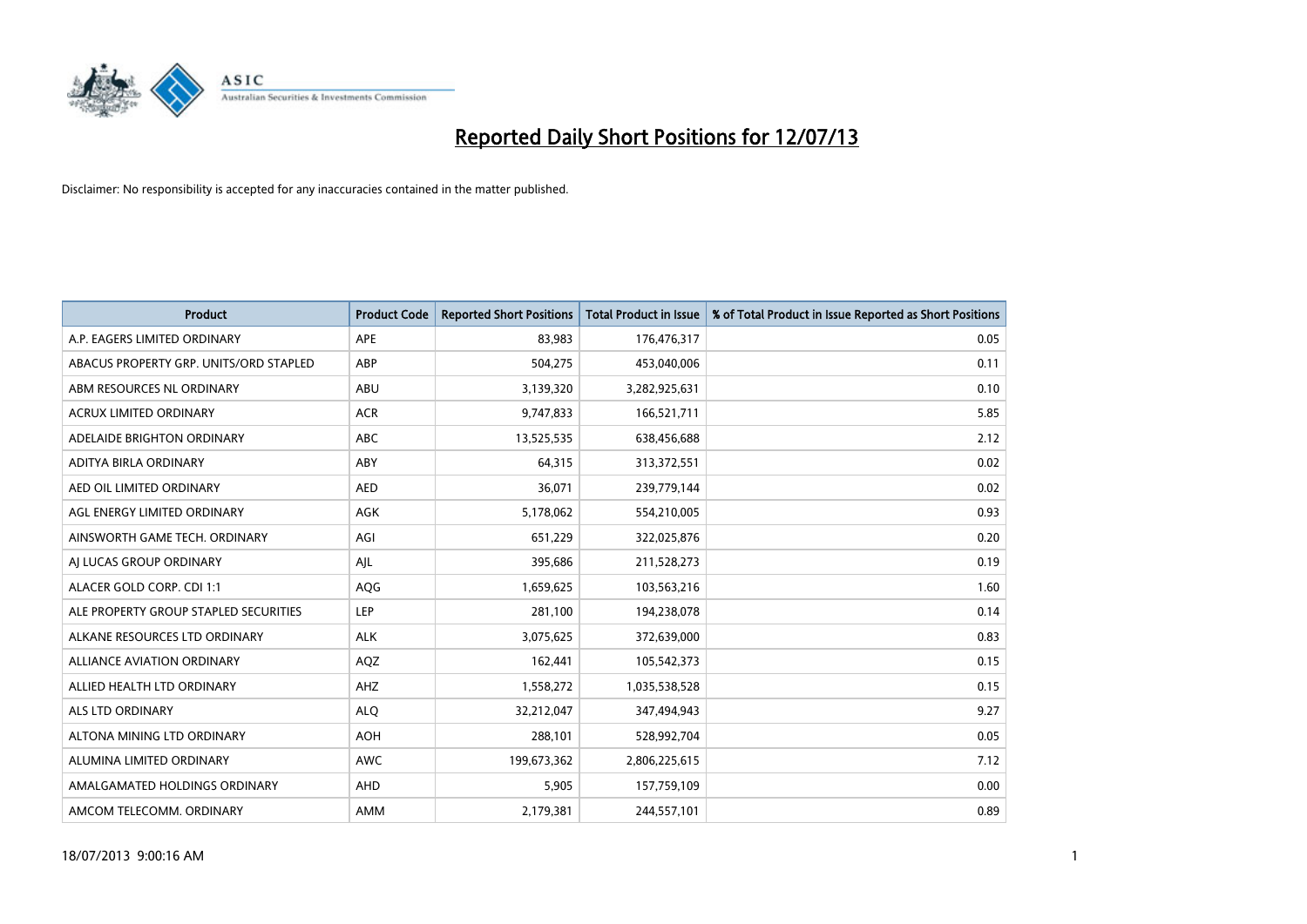

| <b>Product</b>                         | <b>Product Code</b> | <b>Reported Short Positions</b> | <b>Total Product in Issue</b> | % of Total Product in Issue Reported as Short Positions |
|----------------------------------------|---------------------|---------------------------------|-------------------------------|---------------------------------------------------------|
| A.P. EAGERS LIMITED ORDINARY           | APE                 | 83,983                          | 176,476,317                   | 0.05                                                    |
| ABACUS PROPERTY GRP. UNITS/ORD STAPLED | ABP                 | 504,275                         | 453,040,006                   | 0.11                                                    |
| ABM RESOURCES NL ORDINARY              | ABU                 | 3,139,320                       | 3,282,925,631                 | 0.10                                                    |
| <b>ACRUX LIMITED ORDINARY</b>          | <b>ACR</b>          | 9,747,833                       | 166,521,711                   | 5.85                                                    |
| ADELAIDE BRIGHTON ORDINARY             | <b>ABC</b>          | 13,525,535                      | 638,456,688                   | 2.12                                                    |
| ADITYA BIRLA ORDINARY                  | ABY                 | 64,315                          | 313,372,551                   | 0.02                                                    |
| AED OIL LIMITED ORDINARY               | <b>AED</b>          | 36,071                          | 239,779,144                   | 0.02                                                    |
| AGL ENERGY LIMITED ORDINARY            | AGK                 | 5,178,062                       | 554,210,005                   | 0.93                                                    |
| AINSWORTH GAME TECH. ORDINARY          | AGI                 | 651,229                         | 322,025,876                   | 0.20                                                    |
| AI LUCAS GROUP ORDINARY                | AJL                 | 395,686                         | 211,528,273                   | 0.19                                                    |
| ALACER GOLD CORP. CDI 1:1              | AQG                 | 1,659,625                       | 103,563,216                   | 1.60                                                    |
| ALE PROPERTY GROUP STAPLED SECURITIES  | LEP                 | 281,100                         | 194,238,078                   | 0.14                                                    |
| ALKANE RESOURCES LTD ORDINARY          | <b>ALK</b>          | 3,075,625                       | 372,639,000                   | 0.83                                                    |
| <b>ALLIANCE AVIATION ORDINARY</b>      | AQZ                 | 162,441                         | 105,542,373                   | 0.15                                                    |
| ALLIED HEALTH LTD ORDINARY             | AHZ                 | 1,558,272                       | 1,035,538,528                 | 0.15                                                    |
| ALS LTD ORDINARY                       | <b>ALQ</b>          | 32,212,047                      | 347,494,943                   | 9.27                                                    |
| ALTONA MINING LTD ORDINARY             | <b>AOH</b>          | 288,101                         | 528,992,704                   | 0.05                                                    |
| ALUMINA LIMITED ORDINARY               | <b>AWC</b>          | 199,673,362                     | 2,806,225,615                 | 7.12                                                    |
| AMALGAMATED HOLDINGS ORDINARY          | AHD                 | 5,905                           | 157,759,109                   | 0.00                                                    |
| AMCOM TELECOMM, ORDINARY               | AMM                 | 2,179,381                       | 244,557,101                   | 0.89                                                    |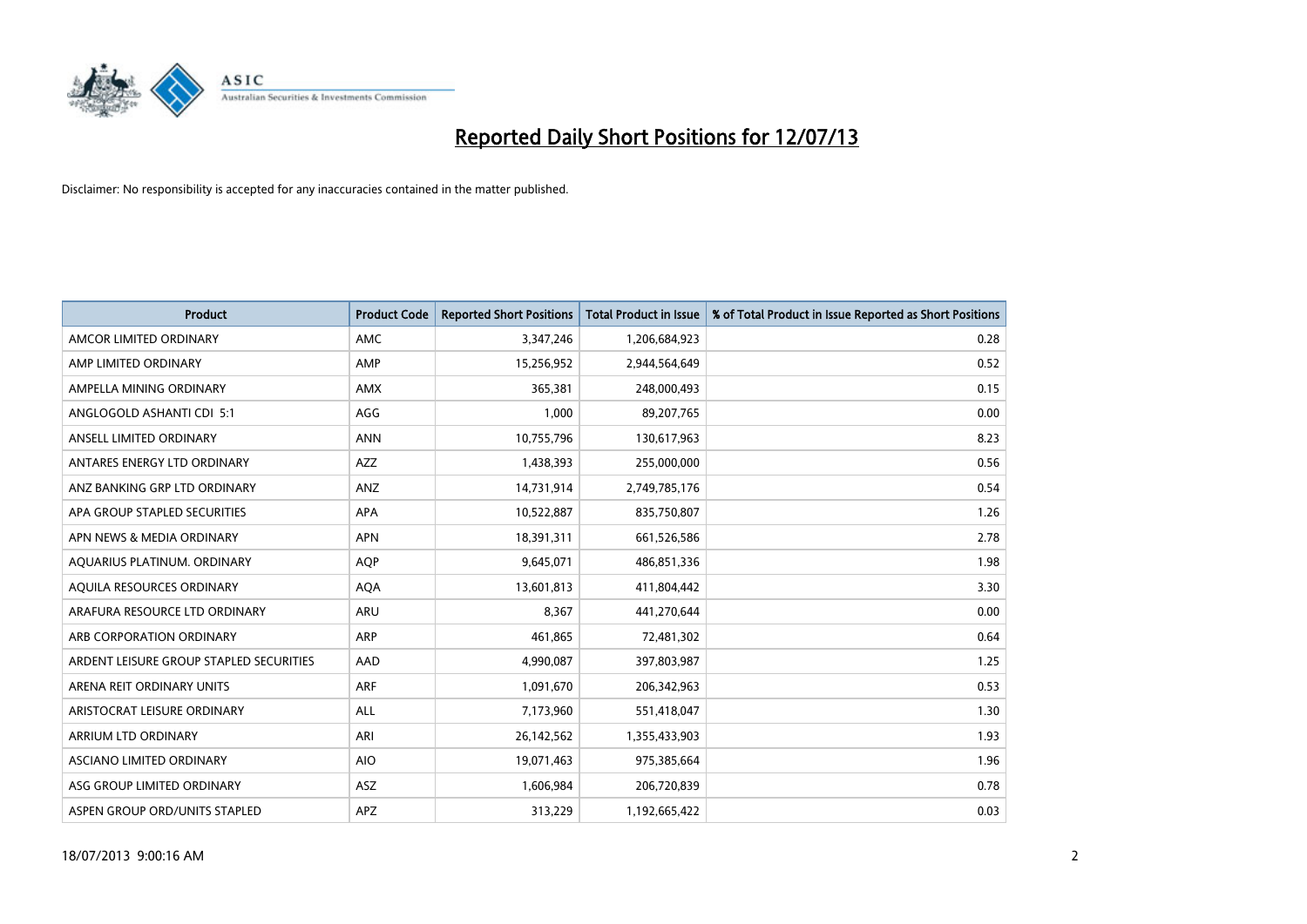

| <b>Product</b>                          | <b>Product Code</b> | <b>Reported Short Positions</b> | <b>Total Product in Issue</b> | % of Total Product in Issue Reported as Short Positions |
|-----------------------------------------|---------------------|---------------------------------|-------------------------------|---------------------------------------------------------|
| AMCOR LIMITED ORDINARY                  | AMC                 | 3,347,246                       | 1,206,684,923                 | 0.28                                                    |
| AMP LIMITED ORDINARY                    | AMP                 | 15,256,952                      | 2,944,564,649                 | 0.52                                                    |
| AMPELLA MINING ORDINARY                 | AMX                 | 365,381                         | 248,000,493                   | 0.15                                                    |
| ANGLOGOLD ASHANTI CDI 5:1               | AGG                 | 1,000                           | 89,207,765                    | 0.00                                                    |
| ANSELL LIMITED ORDINARY                 | <b>ANN</b>          | 10,755,796                      | 130,617,963                   | 8.23                                                    |
| ANTARES ENERGY LTD ORDINARY             | AZZ                 | 1,438,393                       | 255,000,000                   | 0.56                                                    |
| ANZ BANKING GRP LTD ORDINARY            | ANZ                 | 14,731,914                      | 2,749,785,176                 | 0.54                                                    |
| APA GROUP STAPLED SECURITIES            | APA                 | 10,522,887                      | 835,750,807                   | 1.26                                                    |
| APN NEWS & MEDIA ORDINARY               | <b>APN</b>          | 18,391,311                      | 661,526,586                   | 2.78                                                    |
| AQUARIUS PLATINUM. ORDINARY             | AQP                 | 9,645,071                       | 486,851,336                   | 1.98                                                    |
| AQUILA RESOURCES ORDINARY               | <b>AQA</b>          | 13,601,813                      | 411,804,442                   | 3.30                                                    |
| ARAFURA RESOURCE LTD ORDINARY           | ARU                 | 8,367                           | 441,270,644                   | 0.00                                                    |
| ARB CORPORATION ORDINARY                | <b>ARP</b>          | 461,865                         | 72,481,302                    | 0.64                                                    |
| ARDENT LEISURE GROUP STAPLED SECURITIES | AAD                 | 4,990,087                       | 397,803,987                   | 1.25                                                    |
| ARENA REIT ORDINARY UNITS               | <b>ARF</b>          | 1,091,670                       | 206,342,963                   | 0.53                                                    |
| ARISTOCRAT LEISURE ORDINARY             | ALL                 | 7,173,960                       | 551,418,047                   | 1.30                                                    |
| ARRIUM LTD ORDINARY                     | ARI                 | 26,142,562                      | 1,355,433,903                 | 1.93                                                    |
| ASCIANO LIMITED ORDINARY                | <b>AIO</b>          | 19,071,463                      | 975,385,664                   | 1.96                                                    |
| ASG GROUP LIMITED ORDINARY              | <b>ASZ</b>          | 1,606,984                       | 206,720,839                   | 0.78                                                    |
| ASPEN GROUP ORD/UNITS STAPLED           | <b>APZ</b>          | 313,229                         | 1,192,665,422                 | 0.03                                                    |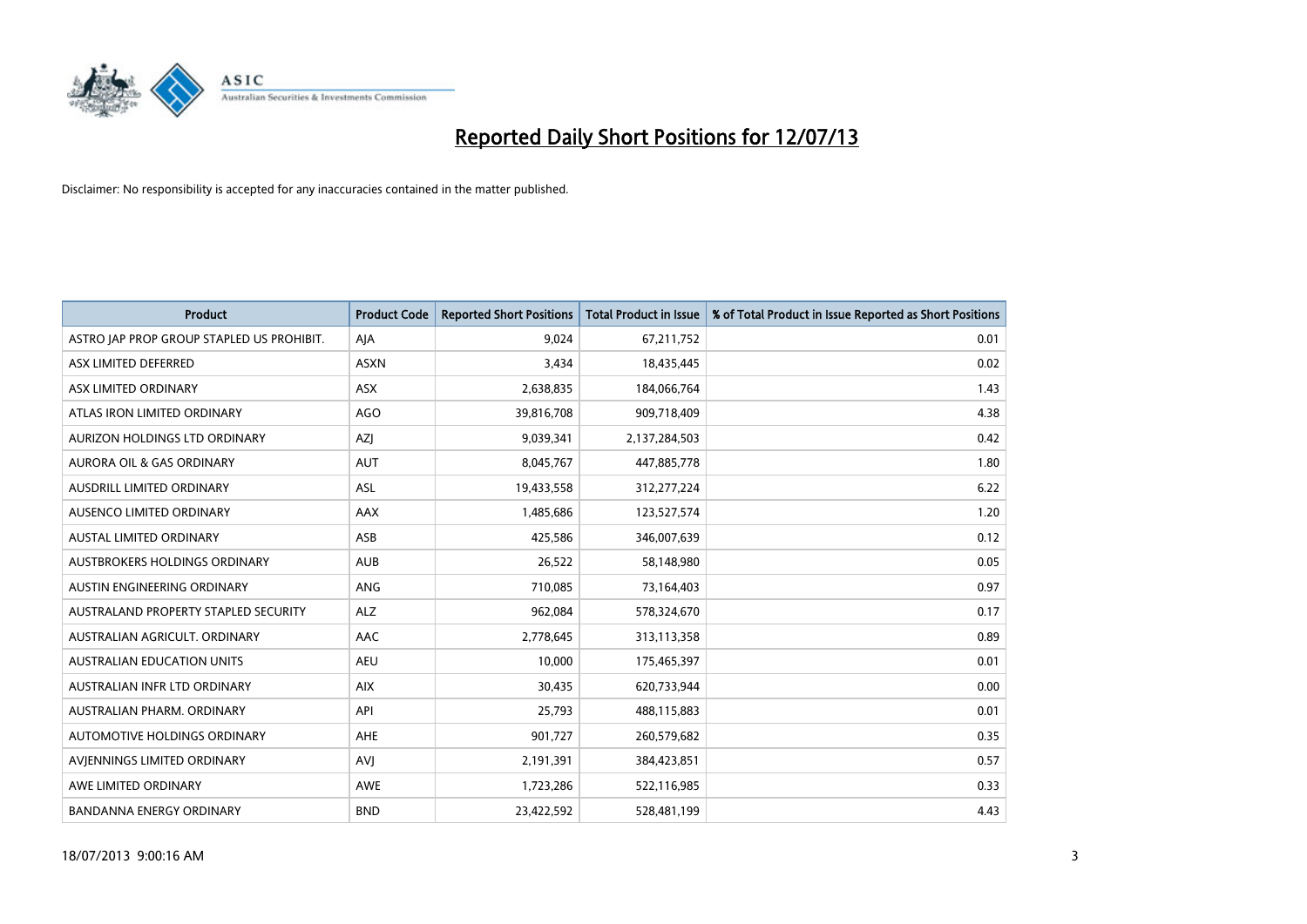

| Product                                   | <b>Product Code</b> | <b>Reported Short Positions</b> | <b>Total Product in Issue</b> | % of Total Product in Issue Reported as Short Positions |
|-------------------------------------------|---------------------|---------------------------------|-------------------------------|---------------------------------------------------------|
| ASTRO JAP PROP GROUP STAPLED US PROHIBIT. | AJA                 | 9,024                           | 67,211,752                    | 0.01                                                    |
| ASX LIMITED DEFERRED                      | <b>ASXN</b>         | 3,434                           | 18,435,445                    | 0.02                                                    |
| ASX LIMITED ORDINARY                      | <b>ASX</b>          | 2,638,835                       | 184,066,764                   | 1.43                                                    |
| ATLAS IRON LIMITED ORDINARY               | <b>AGO</b>          | 39,816,708                      | 909,718,409                   | 4.38                                                    |
| AURIZON HOLDINGS LTD ORDINARY             | AZJ                 | 9,039,341                       | 2,137,284,503                 | 0.42                                                    |
| <b>AURORA OIL &amp; GAS ORDINARY</b>      | AUT                 | 8,045,767                       | 447,885,778                   | 1.80                                                    |
| AUSDRILL LIMITED ORDINARY                 | ASL                 | 19,433,558                      | 312,277,224                   | 6.22                                                    |
| AUSENCO LIMITED ORDINARY                  | AAX                 | 1,485,686                       | 123,527,574                   | 1.20                                                    |
| <b>AUSTAL LIMITED ORDINARY</b>            | ASB                 | 425,586                         | 346,007,639                   | 0.12                                                    |
| AUSTBROKERS HOLDINGS ORDINARY             | <b>AUB</b>          | 26,522                          | 58,148,980                    | 0.05                                                    |
| AUSTIN ENGINEERING ORDINARY               | <b>ANG</b>          | 710,085                         | 73,164,403                    | 0.97                                                    |
| AUSTRALAND PROPERTY STAPLED SECURITY      | <b>ALZ</b>          | 962,084                         | 578,324,670                   | 0.17                                                    |
| AUSTRALIAN AGRICULT, ORDINARY             | AAC                 | 2,778,645                       | 313,113,358                   | 0.89                                                    |
| <b>AUSTRALIAN EDUCATION UNITS</b>         | <b>AEU</b>          | 10,000                          | 175,465,397                   | 0.01                                                    |
| AUSTRALIAN INFR LTD ORDINARY              | <b>AIX</b>          | 30,435                          | 620,733,944                   | 0.00                                                    |
| AUSTRALIAN PHARM. ORDINARY                | API                 | 25,793                          | 488,115,883                   | 0.01                                                    |
| AUTOMOTIVE HOLDINGS ORDINARY              | AHE                 | 901,727                         | 260,579,682                   | 0.35                                                    |
| AVIENNINGS LIMITED ORDINARY               | <b>AVJ</b>          | 2,191,391                       | 384,423,851                   | 0.57                                                    |
| AWE LIMITED ORDINARY                      | <b>AWE</b>          | 1,723,286                       | 522,116,985                   | 0.33                                                    |
| <b>BANDANNA ENERGY ORDINARY</b>           | <b>BND</b>          | 23,422,592                      | 528,481,199                   | 4.43                                                    |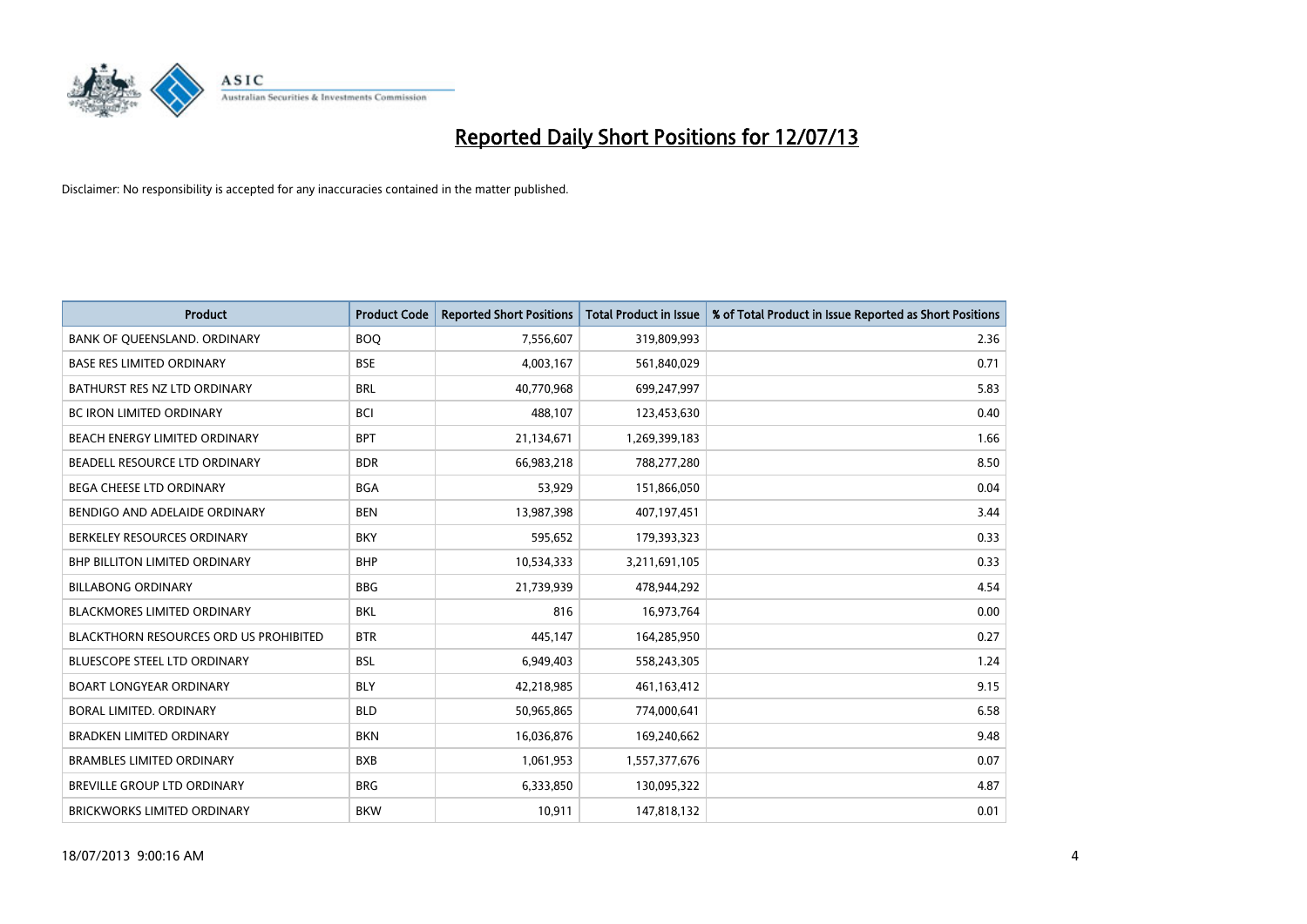

| <b>Product</b>                                | <b>Product Code</b> | <b>Reported Short Positions</b> | <b>Total Product in Issue</b> | % of Total Product in Issue Reported as Short Positions |
|-----------------------------------------------|---------------------|---------------------------------|-------------------------------|---------------------------------------------------------|
| BANK OF QUEENSLAND. ORDINARY                  | <b>BOQ</b>          | 7,556,607                       | 319,809,993                   | 2.36                                                    |
| <b>BASE RES LIMITED ORDINARY</b>              | <b>BSE</b>          | 4,003,167                       | 561,840,029                   | 0.71                                                    |
| BATHURST RES NZ LTD ORDINARY                  | <b>BRL</b>          | 40,770,968                      | 699,247,997                   | 5.83                                                    |
| BC IRON LIMITED ORDINARY                      | <b>BCI</b>          | 488,107                         | 123,453,630                   | 0.40                                                    |
| BEACH ENERGY LIMITED ORDINARY                 | <b>BPT</b>          | 21,134,671                      | 1,269,399,183                 | 1.66                                                    |
| BEADELL RESOURCE LTD ORDINARY                 | <b>BDR</b>          | 66,983,218                      | 788,277,280                   | 8.50                                                    |
| BEGA CHEESE LTD ORDINARY                      | <b>BGA</b>          | 53,929                          | 151,866,050                   | 0.04                                                    |
| BENDIGO AND ADELAIDE ORDINARY                 | <b>BEN</b>          | 13,987,398                      | 407,197,451                   | 3.44                                                    |
| BERKELEY RESOURCES ORDINARY                   | <b>BKY</b>          | 595,652                         | 179,393,323                   | 0.33                                                    |
| <b>BHP BILLITON LIMITED ORDINARY</b>          | <b>BHP</b>          | 10,534,333                      | 3,211,691,105                 | 0.33                                                    |
| <b>BILLABONG ORDINARY</b>                     | <b>BBG</b>          | 21,739,939                      | 478,944,292                   | 4.54                                                    |
| BLACKMORES LIMITED ORDINARY                   | <b>BKL</b>          | 816                             | 16,973,764                    | 0.00                                                    |
| <b>BLACKTHORN RESOURCES ORD US PROHIBITED</b> | <b>BTR</b>          | 445,147                         | 164,285,950                   | 0.27                                                    |
| <b>BLUESCOPE STEEL LTD ORDINARY</b>           | <b>BSL</b>          | 6,949,403                       | 558,243,305                   | 1.24                                                    |
| <b>BOART LONGYEAR ORDINARY</b>                | <b>BLY</b>          | 42,218,985                      | 461,163,412                   | 9.15                                                    |
| BORAL LIMITED. ORDINARY                       | <b>BLD</b>          | 50,965,865                      | 774,000,641                   | 6.58                                                    |
| <b>BRADKEN LIMITED ORDINARY</b>               | <b>BKN</b>          | 16,036,876                      | 169,240,662                   | 9.48                                                    |
| <b>BRAMBLES LIMITED ORDINARY</b>              | <b>BXB</b>          | 1,061,953                       | 1,557,377,676                 | 0.07                                                    |
| <b>BREVILLE GROUP LTD ORDINARY</b>            | <b>BRG</b>          | 6,333,850                       | 130,095,322                   | 4.87                                                    |
| <b>BRICKWORKS LIMITED ORDINARY</b>            | <b>BKW</b>          | 10,911                          | 147,818,132                   | 0.01                                                    |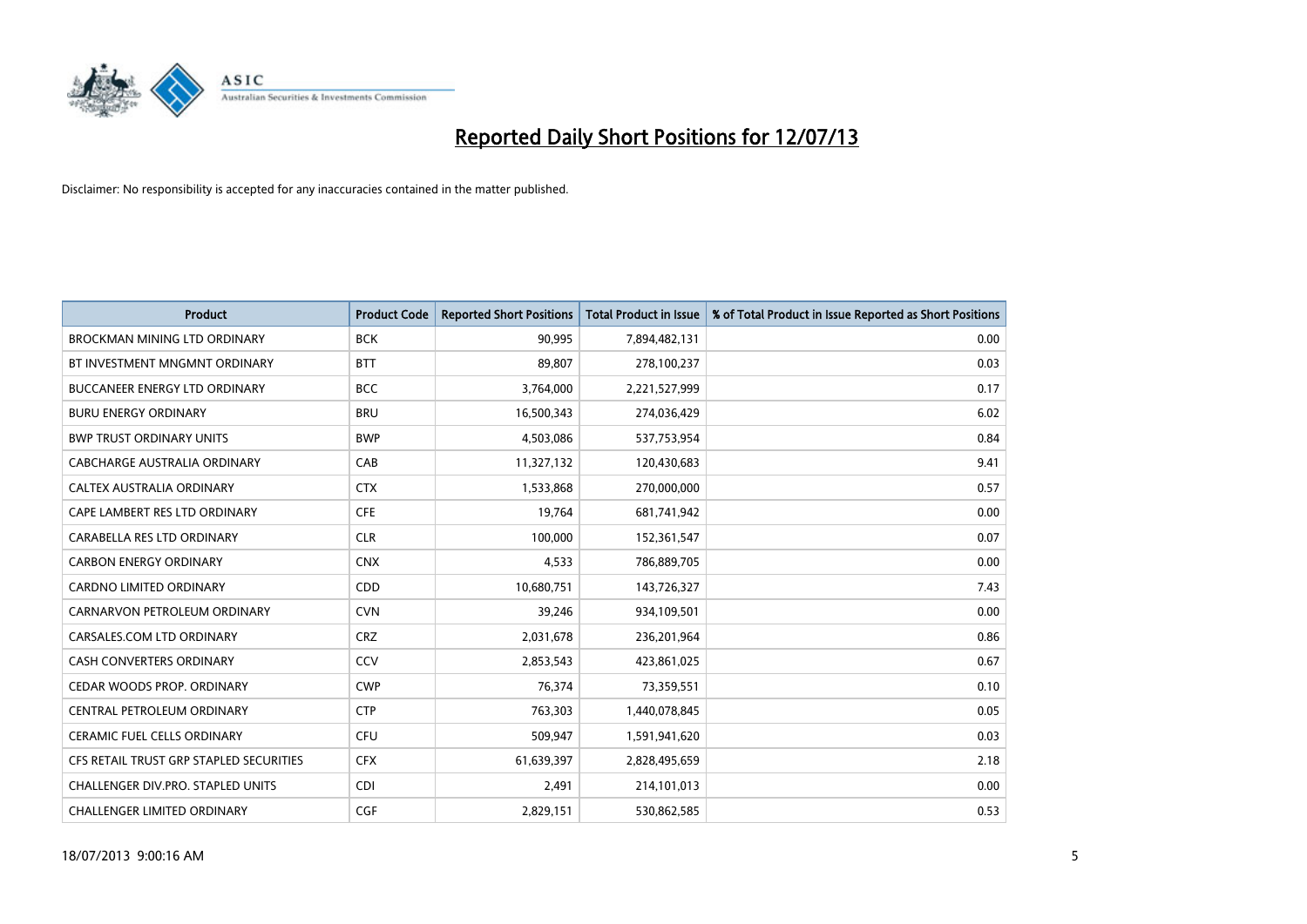

| <b>Product</b>                          | <b>Product Code</b> | <b>Reported Short Positions</b> | <b>Total Product in Issue</b> | % of Total Product in Issue Reported as Short Positions |
|-----------------------------------------|---------------------|---------------------------------|-------------------------------|---------------------------------------------------------|
| <b>BROCKMAN MINING LTD ORDINARY</b>     | <b>BCK</b>          | 90,995                          | 7,894,482,131                 | 0.00                                                    |
| BT INVESTMENT MNGMNT ORDINARY           | <b>BTT</b>          | 89,807                          | 278,100,237                   | 0.03                                                    |
| <b>BUCCANEER ENERGY LTD ORDINARY</b>    | <b>BCC</b>          | 3,764,000                       | 2,221,527,999                 | 0.17                                                    |
| <b>BURU ENERGY ORDINARY</b>             | <b>BRU</b>          | 16,500,343                      | 274,036,429                   | 6.02                                                    |
| <b>BWP TRUST ORDINARY UNITS</b>         | <b>BWP</b>          | 4,503,086                       | 537,753,954                   | 0.84                                                    |
| <b>CABCHARGE AUSTRALIA ORDINARY</b>     | CAB                 | 11,327,132                      | 120,430,683                   | 9.41                                                    |
| CALTEX AUSTRALIA ORDINARY               | <b>CTX</b>          | 1,533,868                       | 270,000,000                   | 0.57                                                    |
| CAPE LAMBERT RES LTD ORDINARY           | <b>CFE</b>          | 19,764                          | 681,741,942                   | 0.00                                                    |
| CARABELLA RES LTD ORDINARY              | <b>CLR</b>          | 100.000                         | 152,361,547                   | 0.07                                                    |
| <b>CARBON ENERGY ORDINARY</b>           | <b>CNX</b>          | 4,533                           | 786,889,705                   | 0.00                                                    |
| CARDNO LIMITED ORDINARY                 | CDD                 | 10,680,751                      | 143,726,327                   | 7.43                                                    |
| CARNARVON PETROLEUM ORDINARY            | <b>CVN</b>          | 39,246                          | 934,109,501                   | 0.00                                                    |
| CARSALES.COM LTD ORDINARY               | <b>CRZ</b>          | 2,031,678                       | 236,201,964                   | 0.86                                                    |
| <b>CASH CONVERTERS ORDINARY</b>         | CCV                 | 2,853,543                       | 423,861,025                   | 0.67                                                    |
| CEDAR WOODS PROP. ORDINARY              | <b>CWP</b>          | 76,374                          | 73,359,551                    | 0.10                                                    |
| CENTRAL PETROLEUM ORDINARY              | <b>CTP</b>          | 763,303                         | 1,440,078,845                 | 0.05                                                    |
| CERAMIC FUEL CELLS ORDINARY             | <b>CFU</b>          | 509,947                         | 1,591,941,620                 | 0.03                                                    |
| CFS RETAIL TRUST GRP STAPLED SECURITIES | <b>CFX</b>          | 61,639,397                      | 2,828,495,659                 | 2.18                                                    |
| CHALLENGER DIV.PRO. STAPLED UNITS       | <b>CDI</b>          | 2,491                           | 214,101,013                   | 0.00                                                    |
| CHALLENGER LIMITED ORDINARY             | <b>CGF</b>          | 2,829,151                       | 530,862,585                   | 0.53                                                    |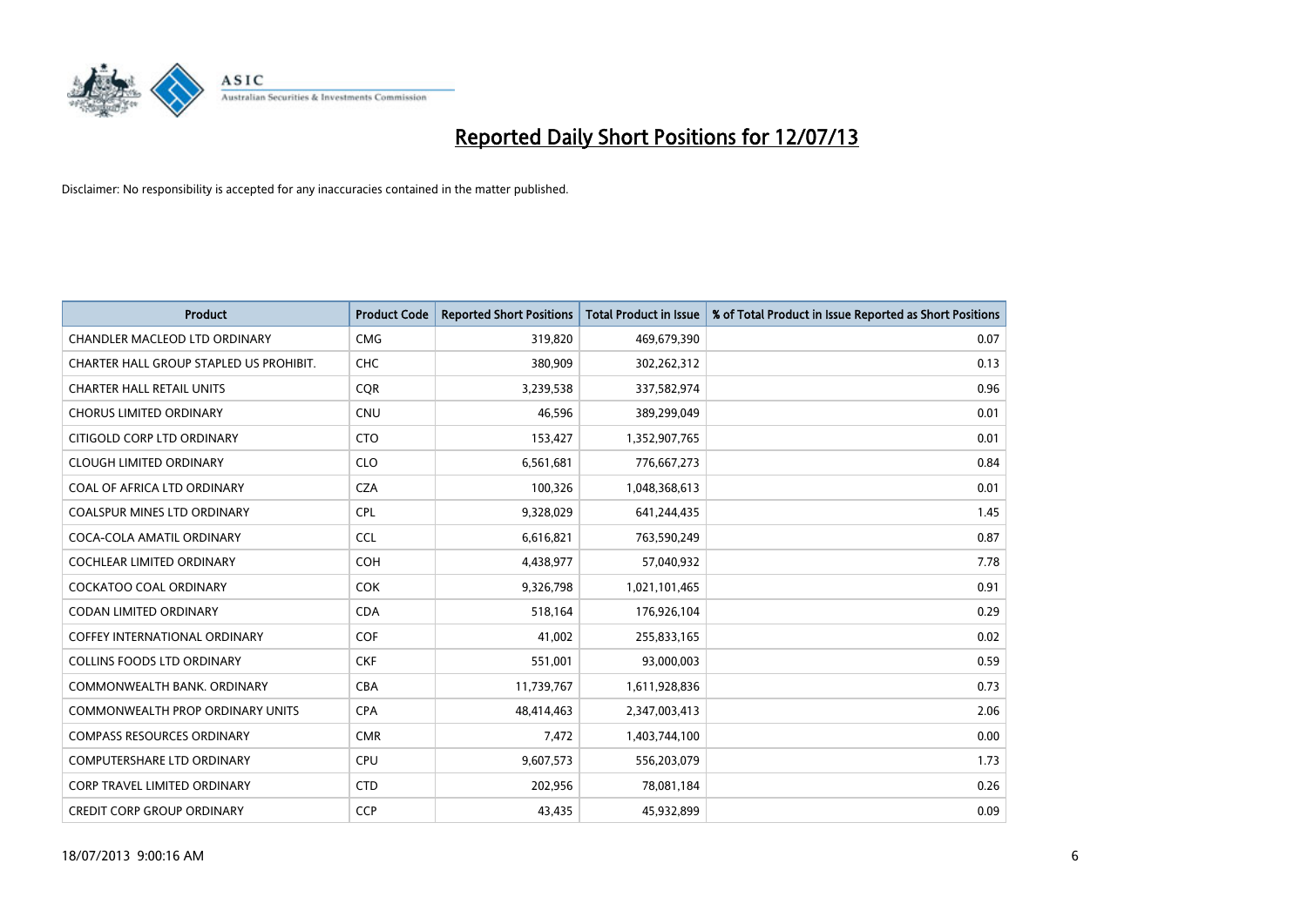

| <b>Product</b>                          | <b>Product Code</b> | <b>Reported Short Positions</b> | <b>Total Product in Issue</b> | % of Total Product in Issue Reported as Short Positions |
|-----------------------------------------|---------------------|---------------------------------|-------------------------------|---------------------------------------------------------|
| <b>CHANDLER MACLEOD LTD ORDINARY</b>    | <b>CMG</b>          | 319,820                         | 469,679,390                   | 0.07                                                    |
| CHARTER HALL GROUP STAPLED US PROHIBIT. | <b>CHC</b>          | 380,909                         | 302,262,312                   | 0.13                                                    |
| <b>CHARTER HALL RETAIL UNITS</b>        | <b>COR</b>          | 3,239,538                       | 337,582,974                   | 0.96                                                    |
| <b>CHORUS LIMITED ORDINARY</b>          | <b>CNU</b>          | 46,596                          | 389,299,049                   | 0.01                                                    |
| CITIGOLD CORP LTD ORDINARY              | <b>CTO</b>          | 153,427                         | 1,352,907,765                 | 0.01                                                    |
| <b>CLOUGH LIMITED ORDINARY</b>          | <b>CLO</b>          | 6,561,681                       | 776,667,273                   | 0.84                                                    |
| COAL OF AFRICA LTD ORDINARY             | <b>CZA</b>          | 100,326                         | 1,048,368,613                 | 0.01                                                    |
| COALSPUR MINES LTD ORDINARY             | <b>CPL</b>          | 9,328,029                       | 641,244,435                   | 1.45                                                    |
| COCA-COLA AMATIL ORDINARY               | <b>CCL</b>          | 6,616,821                       | 763,590,249                   | 0.87                                                    |
| <b>COCHLEAR LIMITED ORDINARY</b>        | <b>COH</b>          | 4,438,977                       | 57,040,932                    | 7.78                                                    |
| <b>COCKATOO COAL ORDINARY</b>           | COK                 | 9,326,798                       | 1,021,101,465                 | 0.91                                                    |
| <b>CODAN LIMITED ORDINARY</b>           | <b>CDA</b>          | 518,164                         | 176,926,104                   | 0.29                                                    |
| <b>COFFEY INTERNATIONAL ORDINARY</b>    | <b>COF</b>          | 41,002                          | 255,833,165                   | 0.02                                                    |
| <b>COLLINS FOODS LTD ORDINARY</b>       | <b>CKF</b>          | 551,001                         | 93,000,003                    | 0.59                                                    |
| COMMONWEALTH BANK, ORDINARY             | <b>CBA</b>          | 11,739,767                      | 1,611,928,836                 | 0.73                                                    |
| <b>COMMONWEALTH PROP ORDINARY UNITS</b> | <b>CPA</b>          | 48,414,463                      | 2,347,003,413                 | 2.06                                                    |
| <b>COMPASS RESOURCES ORDINARY</b>       | <b>CMR</b>          | 7,472                           | 1,403,744,100                 | 0.00                                                    |
| <b>COMPUTERSHARE LTD ORDINARY</b>       | <b>CPU</b>          | 9,607,573                       | 556,203,079                   | 1.73                                                    |
| <b>CORP TRAVEL LIMITED ORDINARY</b>     | <b>CTD</b>          | 202,956                         | 78,081,184                    | 0.26                                                    |
| <b>CREDIT CORP GROUP ORDINARY</b>       | <b>CCP</b>          | 43,435                          | 45,932,899                    | 0.09                                                    |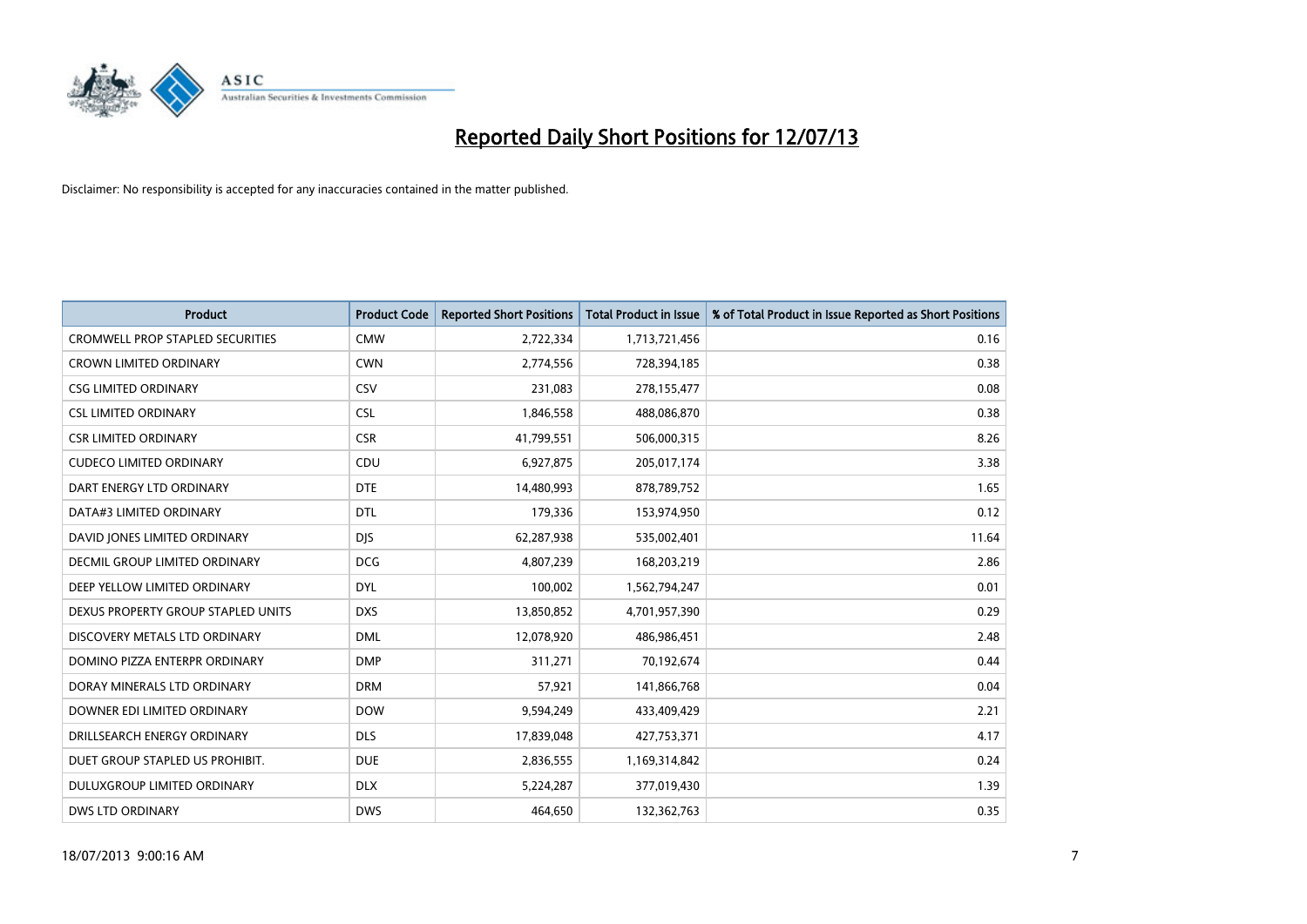

| <b>Product</b>                          | <b>Product Code</b> | <b>Reported Short Positions</b> | <b>Total Product in Issue</b> | % of Total Product in Issue Reported as Short Positions |
|-----------------------------------------|---------------------|---------------------------------|-------------------------------|---------------------------------------------------------|
| <b>CROMWELL PROP STAPLED SECURITIES</b> | <b>CMW</b>          | 2,722,334                       | 1,713,721,456                 | 0.16                                                    |
| <b>CROWN LIMITED ORDINARY</b>           | <b>CWN</b>          | 2,774,556                       | 728,394,185                   | 0.38                                                    |
| <b>CSG LIMITED ORDINARY</b>             | CSV                 | 231,083                         | 278,155,477                   | 0.08                                                    |
| <b>CSL LIMITED ORDINARY</b>             | <b>CSL</b>          | 1,846,558                       | 488,086,870                   | 0.38                                                    |
| <b>CSR LIMITED ORDINARY</b>             | <b>CSR</b>          | 41,799,551                      | 506,000,315                   | 8.26                                                    |
| <b>CUDECO LIMITED ORDINARY</b>          | CDU                 | 6,927,875                       | 205,017,174                   | 3.38                                                    |
| DART ENERGY LTD ORDINARY                | <b>DTE</b>          | 14,480,993                      | 878,789,752                   | 1.65                                                    |
| DATA#3 LIMITED ORDINARY                 | <b>DTL</b>          | 179,336                         | 153,974,950                   | 0.12                                                    |
| DAVID JONES LIMITED ORDINARY            | <b>DJS</b>          | 62,287,938                      | 535,002,401                   | 11.64                                                   |
| DECMIL GROUP LIMITED ORDINARY           | <b>DCG</b>          | 4,807,239                       | 168,203,219                   | 2.86                                                    |
| DEEP YELLOW LIMITED ORDINARY            | <b>DYL</b>          | 100,002                         | 1,562,794,247                 | 0.01                                                    |
| DEXUS PROPERTY GROUP STAPLED UNITS      | <b>DXS</b>          | 13,850,852                      | 4,701,957,390                 | 0.29                                                    |
| DISCOVERY METALS LTD ORDINARY           | <b>DML</b>          | 12,078,920                      | 486,986,451                   | 2.48                                                    |
| DOMINO PIZZA ENTERPR ORDINARY           | <b>DMP</b>          | 311,271                         | 70,192,674                    | 0.44                                                    |
| DORAY MINERALS LTD ORDINARY             | <b>DRM</b>          | 57,921                          | 141,866,768                   | 0.04                                                    |
| DOWNER EDI LIMITED ORDINARY             | <b>DOW</b>          | 9,594,249                       | 433,409,429                   | 2.21                                                    |
| DRILLSEARCH ENERGY ORDINARY             | <b>DLS</b>          | 17,839,048                      | 427,753,371                   | 4.17                                                    |
| DUET GROUP STAPLED US PROHIBIT.         | <b>DUE</b>          | 2,836,555                       | 1,169,314,842                 | 0.24                                                    |
| DULUXGROUP LIMITED ORDINARY             | <b>DLX</b>          | 5,224,287                       | 377,019,430                   | 1.39                                                    |
| <b>DWS LTD ORDINARY</b>                 | <b>DWS</b>          | 464.650                         | 132,362,763                   | 0.35                                                    |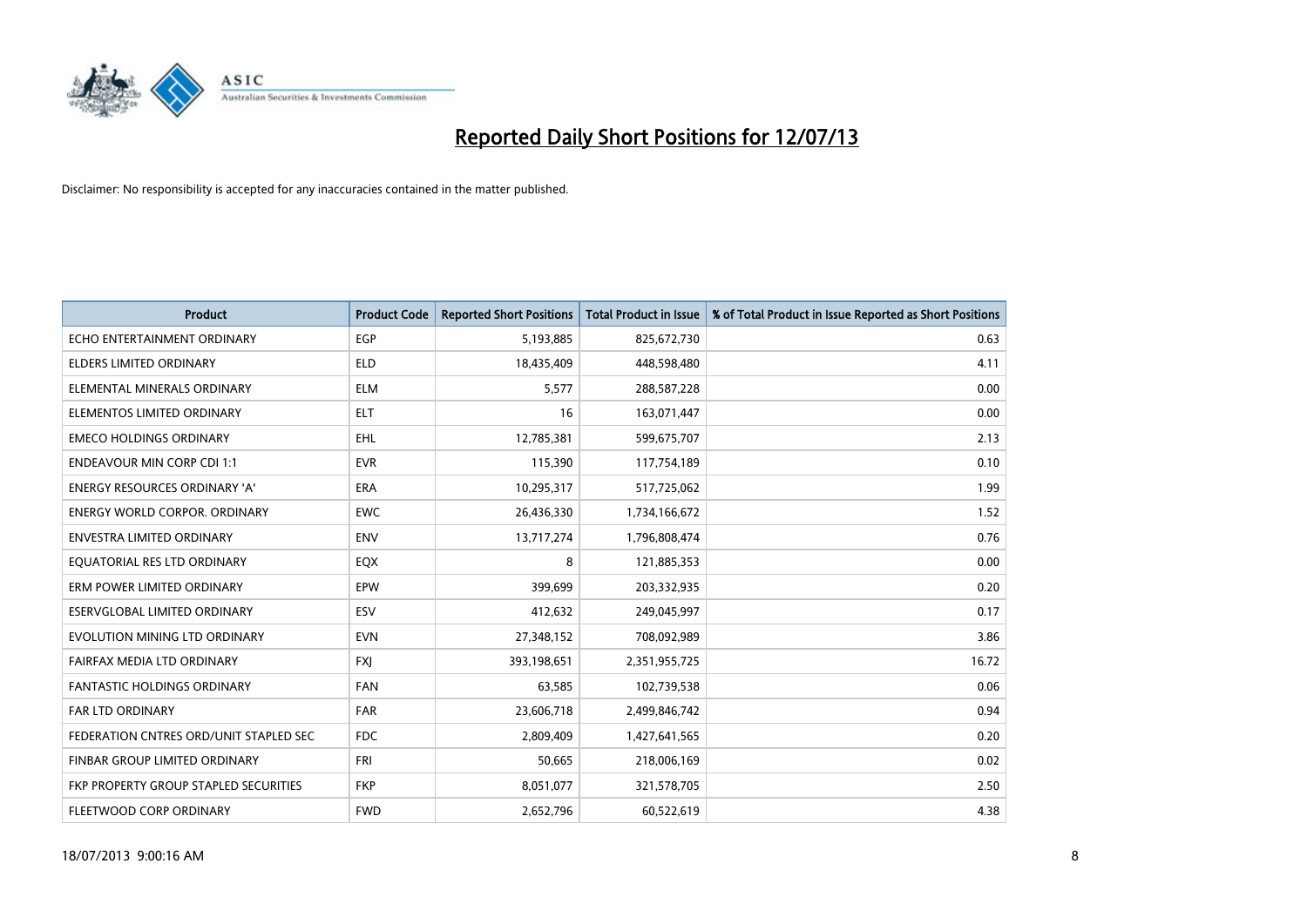

| <b>Product</b>                         | <b>Product Code</b> | <b>Reported Short Positions</b> | <b>Total Product in Issue</b> | % of Total Product in Issue Reported as Short Positions |
|----------------------------------------|---------------------|---------------------------------|-------------------------------|---------------------------------------------------------|
| ECHO ENTERTAINMENT ORDINARY            | <b>EGP</b>          | 5,193,885                       | 825,672,730                   | 0.63                                                    |
| ELDERS LIMITED ORDINARY                | <b>ELD</b>          | 18,435,409                      | 448,598,480                   | 4.11                                                    |
| ELEMENTAL MINERALS ORDINARY            | <b>ELM</b>          | 5,577                           | 288,587,228                   | 0.00                                                    |
| ELEMENTOS LIMITED ORDINARY             | <b>ELT</b>          | 16                              | 163,071,447                   | 0.00                                                    |
| <b>EMECO HOLDINGS ORDINARY</b>         | <b>EHL</b>          | 12,785,381                      | 599,675,707                   | 2.13                                                    |
| <b>ENDEAVOUR MIN CORP CDI 1:1</b>      | <b>EVR</b>          | 115,390                         | 117,754,189                   | 0.10                                                    |
| ENERGY RESOURCES ORDINARY 'A'          | <b>ERA</b>          | 10,295,317                      | 517,725,062                   | 1.99                                                    |
| ENERGY WORLD CORPOR. ORDINARY          | <b>EWC</b>          | 26,436,330                      | 1,734,166,672                 | 1.52                                                    |
| <b>ENVESTRA LIMITED ORDINARY</b>       | <b>ENV</b>          | 13,717,274                      | 1,796,808,474                 | 0.76                                                    |
| EQUATORIAL RES LTD ORDINARY            | EQX                 | 8                               | 121,885,353                   | 0.00                                                    |
| ERM POWER LIMITED ORDINARY             | EPW                 | 399,699                         | 203,332,935                   | 0.20                                                    |
| ESERVGLOBAL LIMITED ORDINARY           | ESV                 | 412,632                         | 249,045,997                   | 0.17                                                    |
| EVOLUTION MINING LTD ORDINARY          | <b>EVN</b>          | 27,348,152                      | 708,092,989                   | 3.86                                                    |
| FAIRFAX MEDIA LTD ORDINARY             | <b>FXI</b>          | 393,198,651                     | 2,351,955,725                 | 16.72                                                   |
| <b>FANTASTIC HOLDINGS ORDINARY</b>     | <b>FAN</b>          | 63,585                          | 102,739,538                   | 0.06                                                    |
| FAR LTD ORDINARY                       | <b>FAR</b>          | 23,606,718                      | 2,499,846,742                 | 0.94                                                    |
| FEDERATION CNTRES ORD/UNIT STAPLED SEC | <b>FDC</b>          | 2,809,409                       | 1,427,641,565                 | 0.20                                                    |
| FINBAR GROUP LIMITED ORDINARY          | <b>FRI</b>          | 50,665                          | 218,006,169                   | 0.02                                                    |
| FKP PROPERTY GROUP STAPLED SECURITIES  | <b>FKP</b>          | 8,051,077                       | 321,578,705                   | 2.50                                                    |
| FLEETWOOD CORP ORDINARY                | <b>FWD</b>          | 2,652,796                       | 60,522,619                    | 4.38                                                    |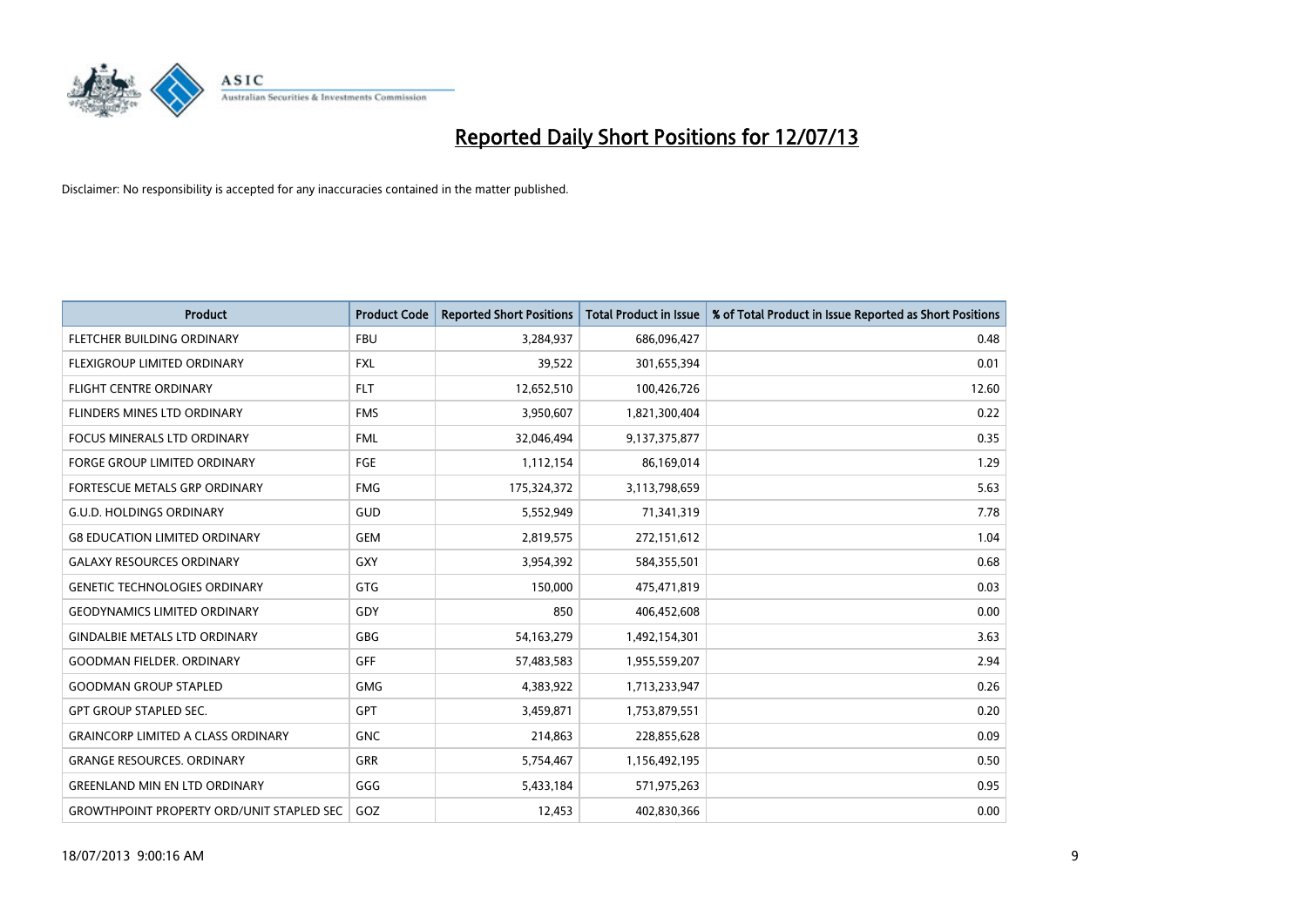

| <b>Product</b>                                   | <b>Product Code</b> | <b>Reported Short Positions</b> | <b>Total Product in Issue</b> | % of Total Product in Issue Reported as Short Positions |
|--------------------------------------------------|---------------------|---------------------------------|-------------------------------|---------------------------------------------------------|
| FLETCHER BUILDING ORDINARY                       | <b>FBU</b>          | 3,284,937                       | 686,096,427                   | 0.48                                                    |
| <b>FLEXIGROUP LIMITED ORDINARY</b>               | <b>FXL</b>          | 39,522                          | 301,655,394                   | 0.01                                                    |
| <b>FLIGHT CENTRE ORDINARY</b>                    | <b>FLT</b>          | 12,652,510                      | 100,426,726                   | 12.60                                                   |
| FLINDERS MINES LTD ORDINARY                      | <b>FMS</b>          | 3,950,607                       | 1,821,300,404                 | 0.22                                                    |
| <b>FOCUS MINERALS LTD ORDINARY</b>               | <b>FML</b>          | 32,046,494                      | 9,137,375,877                 | 0.35                                                    |
| <b>FORGE GROUP LIMITED ORDINARY</b>              | FGE                 | 1,112,154                       | 86,169,014                    | 1.29                                                    |
| <b>FORTESCUE METALS GRP ORDINARY</b>             | <b>FMG</b>          | 175,324,372                     | 3,113,798,659                 | 5.63                                                    |
| <b>G.U.D. HOLDINGS ORDINARY</b>                  | GUD                 | 5,552,949                       | 71,341,319                    | 7.78                                                    |
| <b>G8 EDUCATION LIMITED ORDINARY</b>             | <b>GEM</b>          | 2,819,575                       | 272,151,612                   | 1.04                                                    |
| <b>GALAXY RESOURCES ORDINARY</b>                 | <b>GXY</b>          | 3,954,392                       | 584,355,501                   | 0.68                                                    |
| <b>GENETIC TECHNOLOGIES ORDINARY</b>             | <b>GTG</b>          | 150,000                         | 475,471,819                   | 0.03                                                    |
| <b>GEODYNAMICS LIMITED ORDINARY</b>              | GDY                 | 850                             | 406,452,608                   | 0.00                                                    |
| <b>GINDALBIE METALS LTD ORDINARY</b>             | GBG                 | 54, 163, 279                    | 1,492,154,301                 | 3.63                                                    |
| <b>GOODMAN FIELDER, ORDINARY</b>                 | GFF                 | 57,483,583                      | 1,955,559,207                 | 2.94                                                    |
| <b>GOODMAN GROUP STAPLED</b>                     | <b>GMG</b>          | 4,383,922                       | 1,713,233,947                 | 0.26                                                    |
| <b>GPT GROUP STAPLED SEC.</b>                    | GPT                 | 3,459,871                       | 1,753,879,551                 | 0.20                                                    |
| <b>GRAINCORP LIMITED A CLASS ORDINARY</b>        | <b>GNC</b>          | 214,863                         | 228,855,628                   | 0.09                                                    |
| <b>GRANGE RESOURCES. ORDINARY</b>                | <b>GRR</b>          | 5,754,467                       | 1,156,492,195                 | 0.50                                                    |
| <b>GREENLAND MIN EN LTD ORDINARY</b>             | GGG                 | 5,433,184                       | 571,975,263                   | 0.95                                                    |
| <b>GROWTHPOINT PROPERTY ORD/UNIT STAPLED SEC</b> | GOZ                 | 12,453                          | 402,830,366                   | 0.00                                                    |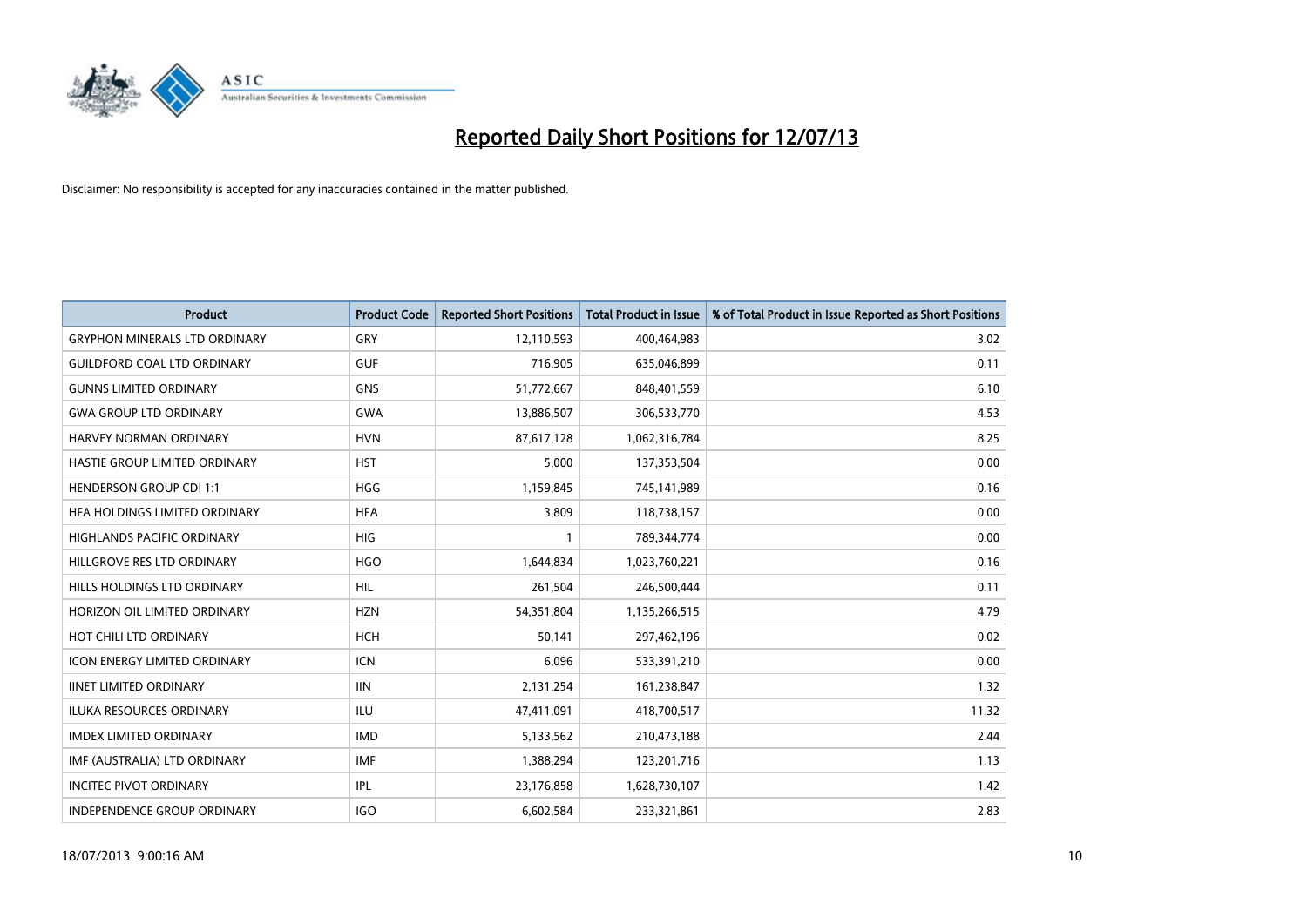

| <b>Product</b>                       | <b>Product Code</b> | <b>Reported Short Positions</b> | <b>Total Product in Issue</b> | % of Total Product in Issue Reported as Short Positions |
|--------------------------------------|---------------------|---------------------------------|-------------------------------|---------------------------------------------------------|
| <b>GRYPHON MINERALS LTD ORDINARY</b> | GRY                 | 12,110,593                      | 400,464,983                   | 3.02                                                    |
| <b>GUILDFORD COAL LTD ORDINARY</b>   | <b>GUF</b>          | 716,905                         | 635,046,899                   | 0.11                                                    |
| <b>GUNNS LIMITED ORDINARY</b>        | <b>GNS</b>          | 51,772,667                      | 848,401,559                   | 6.10                                                    |
| <b>GWA GROUP LTD ORDINARY</b>        | <b>GWA</b>          | 13,886,507                      | 306,533,770                   | 4.53                                                    |
| HARVEY NORMAN ORDINARY               | <b>HVN</b>          | 87,617,128                      | 1,062,316,784                 | 8.25                                                    |
| HASTIE GROUP LIMITED ORDINARY        | <b>HST</b>          | 5,000                           | 137,353,504                   | 0.00                                                    |
| <b>HENDERSON GROUP CDI 1:1</b>       | <b>HGG</b>          | 1,159,845                       | 745,141,989                   | 0.16                                                    |
| <b>HFA HOLDINGS LIMITED ORDINARY</b> | <b>HFA</b>          | 3,809                           | 118,738,157                   | 0.00                                                    |
| HIGHLANDS PACIFIC ORDINARY           | <b>HIG</b>          | 1                               | 789,344,774                   | 0.00                                                    |
| HILLGROVE RES LTD ORDINARY           | <b>HGO</b>          | 1,644,834                       | 1,023,760,221                 | 0.16                                                    |
| HILLS HOLDINGS LTD ORDINARY          | HIL                 | 261,504                         | 246,500,444                   | 0.11                                                    |
| HORIZON OIL LIMITED ORDINARY         | <b>HZN</b>          | 54,351,804                      | 1,135,266,515                 | 4.79                                                    |
| HOT CHILI LTD ORDINARY               | <b>HCH</b>          | 50,141                          | 297,462,196                   | 0.02                                                    |
| <b>ICON ENERGY LIMITED ORDINARY</b>  | <b>ICN</b>          | 6,096                           | 533,391,210                   | 0.00                                                    |
| <b>IINET LIMITED ORDINARY</b>        | <b>IIN</b>          | 2,131,254                       | 161,238,847                   | 1.32                                                    |
| ILUKA RESOURCES ORDINARY             | ILU                 | 47,411,091                      | 418,700,517                   | 11.32                                                   |
| <b>IMDEX LIMITED ORDINARY</b>        | <b>IMD</b>          | 5,133,562                       | 210,473,188                   | 2.44                                                    |
| IMF (AUSTRALIA) LTD ORDINARY         | <b>IMF</b>          | 1,388,294                       | 123,201,716                   | 1.13                                                    |
| <b>INCITEC PIVOT ORDINARY</b>        | IPL                 | 23,176,858                      | 1,628,730,107                 | 1.42                                                    |
| INDEPENDENCE GROUP ORDINARY          | <b>IGO</b>          | 6,602,584                       | 233,321,861                   | 2.83                                                    |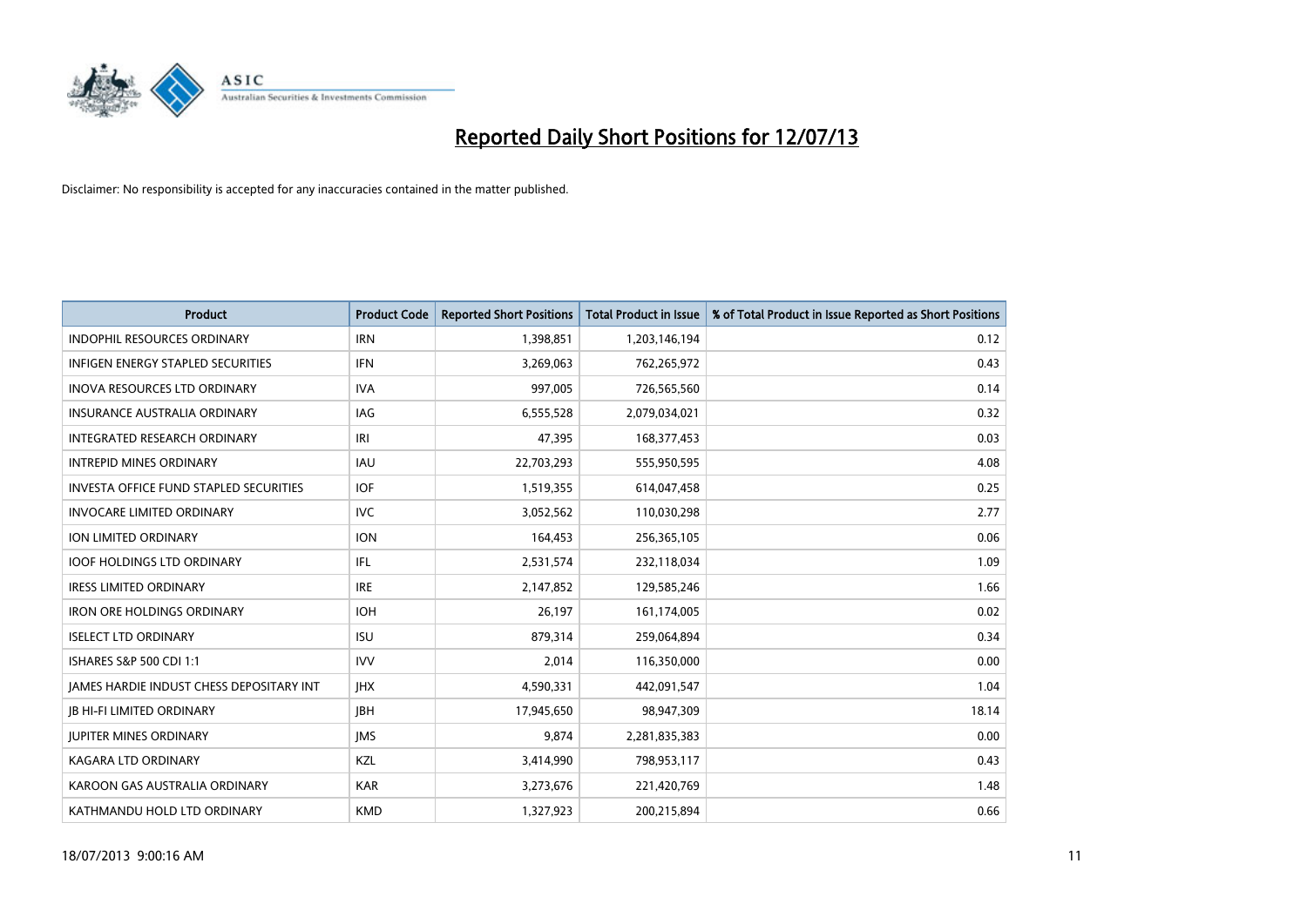

| <b>Product</b>                                | <b>Product Code</b> | <b>Reported Short Positions</b> | <b>Total Product in Issue</b> | % of Total Product in Issue Reported as Short Positions |
|-----------------------------------------------|---------------------|---------------------------------|-------------------------------|---------------------------------------------------------|
| <b>INDOPHIL RESOURCES ORDINARY</b>            | <b>IRN</b>          | 1,398,851                       | 1,203,146,194                 | 0.12                                                    |
| INFIGEN ENERGY STAPLED SECURITIES             | <b>IFN</b>          | 3,269,063                       | 762,265,972                   | 0.43                                                    |
| INOVA RESOURCES LTD ORDINARY                  | <b>IVA</b>          | 997,005                         | 726,565,560                   | 0.14                                                    |
| <b>INSURANCE AUSTRALIA ORDINARY</b>           | IAG                 | 6,555,528                       | 2,079,034,021                 | 0.32                                                    |
| INTEGRATED RESEARCH ORDINARY                  | IRI                 | 47,395                          | 168, 377, 453                 | 0.03                                                    |
| <b>INTREPID MINES ORDINARY</b>                | <b>IAU</b>          | 22,703,293                      | 555,950,595                   | 4.08                                                    |
| <b>INVESTA OFFICE FUND STAPLED SECURITIES</b> | <b>IOF</b>          | 1,519,355                       | 614,047,458                   | 0.25                                                    |
| <b>INVOCARE LIMITED ORDINARY</b>              | <b>IVC</b>          | 3,052,562                       | 110,030,298                   | 2.77                                                    |
| ION LIMITED ORDINARY                          | <b>ION</b>          | 164,453                         | 256,365,105                   | 0.06                                                    |
| <b>IOOF HOLDINGS LTD ORDINARY</b>             | IFL                 | 2,531,574                       | 232,118,034                   | 1.09                                                    |
| <b>IRESS LIMITED ORDINARY</b>                 | <b>IRE</b>          | 2,147,852                       | 129,585,246                   | 1.66                                                    |
| <b>IRON ORE HOLDINGS ORDINARY</b>             | <b>IOH</b>          | 26,197                          | 161,174,005                   | 0.02                                                    |
| <b>ISELECT LTD ORDINARY</b>                   | <b>ISU</b>          | 879,314                         | 259,064,894                   | 0.34                                                    |
| ISHARES S&P 500 CDI 1:1                       | <b>IVV</b>          | 2,014                           | 116,350,000                   | 0.00                                                    |
| JAMES HARDIE INDUST CHESS DEPOSITARY INT      | <b>IHX</b>          | 4,590,331                       | 442,091,547                   | 1.04                                                    |
| <b>JB HI-FI LIMITED ORDINARY</b>              | <b>JBH</b>          | 17,945,650                      | 98,947,309                    | 18.14                                                   |
| <b>JUPITER MINES ORDINARY</b>                 | <b>IMS</b>          | 9,874                           | 2,281,835,383                 | 0.00                                                    |
| <b>KAGARA LTD ORDINARY</b>                    | KZL                 | 3,414,990                       | 798,953,117                   | 0.43                                                    |
| KAROON GAS AUSTRALIA ORDINARY                 | <b>KAR</b>          | 3,273,676                       | 221,420,769                   | 1.48                                                    |
| KATHMANDU HOLD LTD ORDINARY                   | <b>KMD</b>          | 1,327,923                       | 200,215,894                   | 0.66                                                    |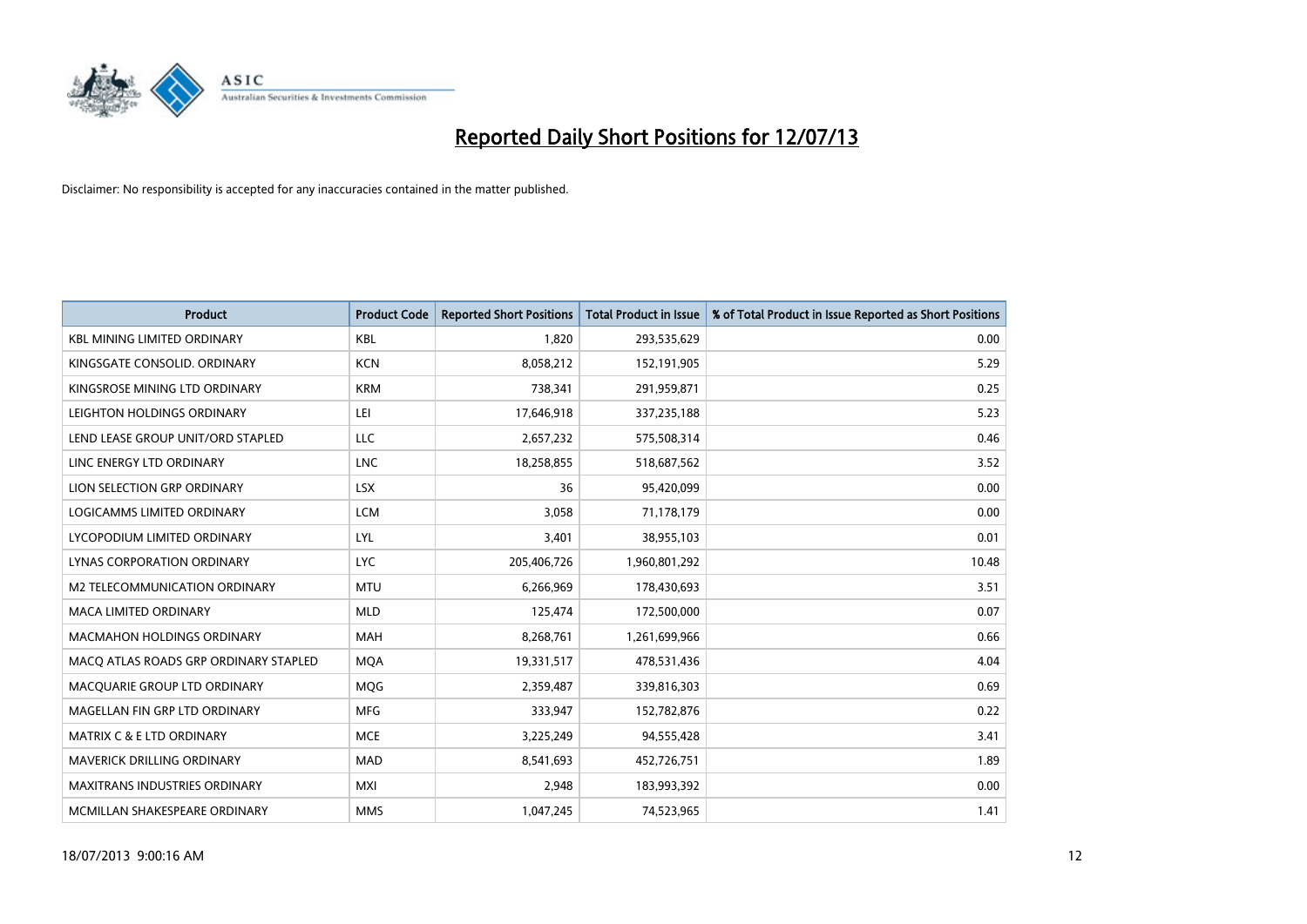

| <b>Product</b>                        | <b>Product Code</b> | <b>Reported Short Positions</b> | <b>Total Product in Issue</b> | % of Total Product in Issue Reported as Short Positions |
|---------------------------------------|---------------------|---------------------------------|-------------------------------|---------------------------------------------------------|
| <b>KBL MINING LIMITED ORDINARY</b>    | <b>KBL</b>          | 1,820                           | 293,535,629                   | 0.00                                                    |
| KINGSGATE CONSOLID. ORDINARY          | <b>KCN</b>          | 8,058,212                       | 152,191,905                   | 5.29                                                    |
| KINGSROSE MINING LTD ORDINARY         | <b>KRM</b>          | 738,341                         | 291,959,871                   | 0.25                                                    |
| LEIGHTON HOLDINGS ORDINARY            | LEI                 | 17,646,918                      | 337,235,188                   | 5.23                                                    |
| LEND LEASE GROUP UNIT/ORD STAPLED     | LLC                 | 2,657,232                       | 575,508,314                   | 0.46                                                    |
| LINC ENERGY LTD ORDINARY              | <b>LNC</b>          | 18,258,855                      | 518,687,562                   | 3.52                                                    |
| LION SELECTION GRP ORDINARY           | <b>LSX</b>          | 36                              | 95,420,099                    | 0.00                                                    |
| LOGICAMMS LIMITED ORDINARY            | <b>LCM</b>          | 3,058                           | 71,178,179                    | 0.00                                                    |
| LYCOPODIUM LIMITED ORDINARY           | <b>LYL</b>          | 3,401                           | 38,955,103                    | 0.01                                                    |
| LYNAS CORPORATION ORDINARY            | <b>LYC</b>          | 205,406,726                     | 1,960,801,292                 | 10.48                                                   |
| M2 TELECOMMUNICATION ORDINARY         | <b>MTU</b>          | 6,266,969                       | 178,430,693                   | 3.51                                                    |
| <b>MACA LIMITED ORDINARY</b>          | <b>MLD</b>          | 125,474                         | 172,500,000                   | 0.07                                                    |
| MACMAHON HOLDINGS ORDINARY            | MAH                 | 8,268,761                       | 1,261,699,966                 | 0.66                                                    |
| MACO ATLAS ROADS GRP ORDINARY STAPLED | <b>MOA</b>          | 19,331,517                      | 478,531,436                   | 4.04                                                    |
| MACQUARIE GROUP LTD ORDINARY          | MQG                 | 2,359,487                       | 339,816,303                   | 0.69                                                    |
| MAGELLAN FIN GRP LTD ORDINARY         | <b>MFG</b>          | 333,947                         | 152,782,876                   | 0.22                                                    |
| <b>MATRIX C &amp; E LTD ORDINARY</b>  | <b>MCE</b>          | 3,225,249                       | 94,555,428                    | 3.41                                                    |
| MAVERICK DRILLING ORDINARY            | <b>MAD</b>          | 8,541,693                       | 452,726,751                   | 1.89                                                    |
| <b>MAXITRANS INDUSTRIES ORDINARY</b>  | <b>MXI</b>          | 2,948                           | 183,993,392                   | 0.00                                                    |
| MCMILLAN SHAKESPEARE ORDINARY         | <b>MMS</b>          | 1,047,245                       | 74,523,965                    | 1.41                                                    |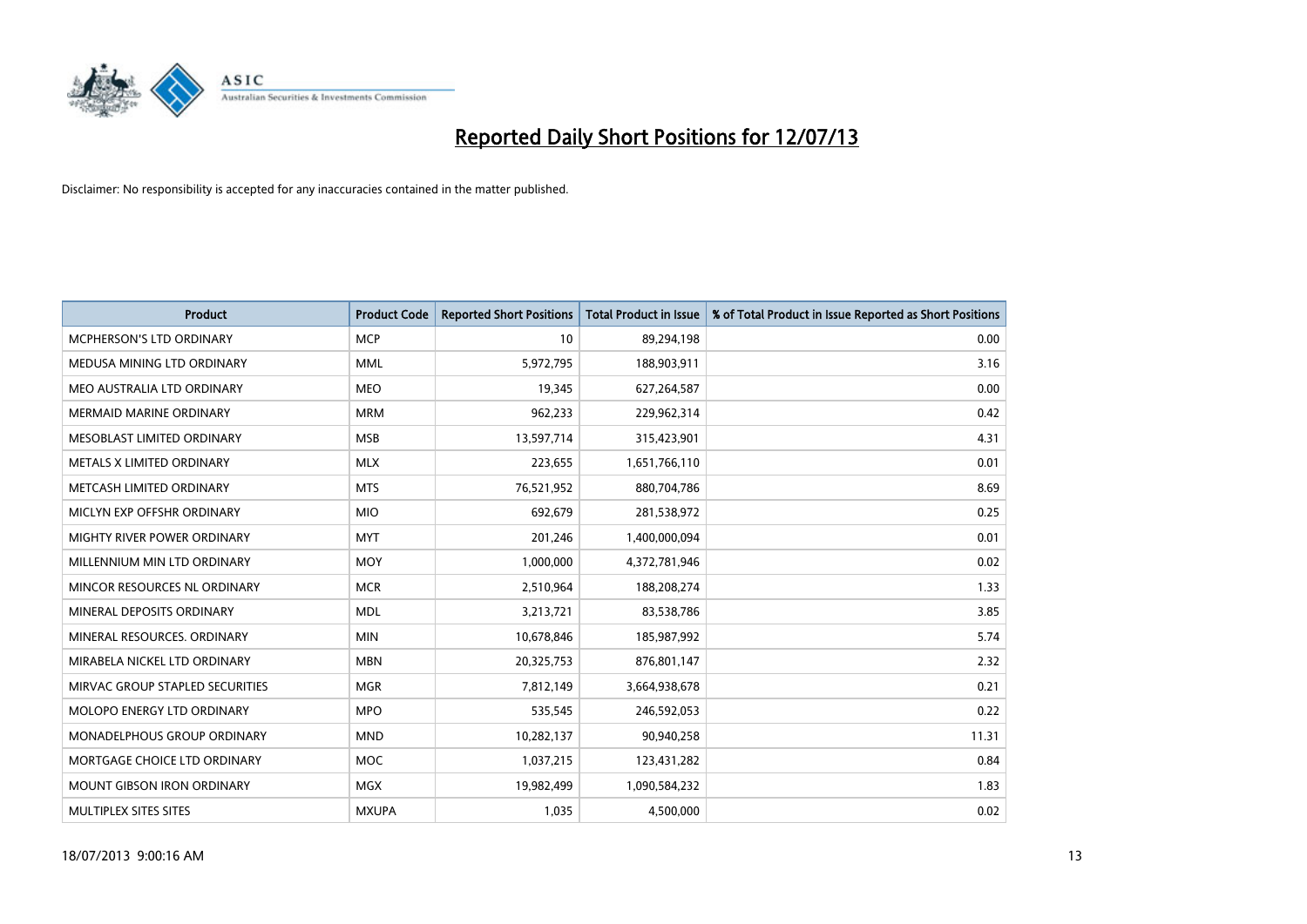

| <b>Product</b>                    | <b>Product Code</b> | <b>Reported Short Positions</b> | <b>Total Product in Issue</b> | % of Total Product in Issue Reported as Short Positions |
|-----------------------------------|---------------------|---------------------------------|-------------------------------|---------------------------------------------------------|
| <b>MCPHERSON'S LTD ORDINARY</b>   | <b>MCP</b>          | 10                              | 89,294,198                    | 0.00                                                    |
| MEDUSA MINING LTD ORDINARY        | <b>MML</b>          | 5,972,795                       | 188,903,911                   | 3.16                                                    |
| MEO AUSTRALIA LTD ORDINARY        | <b>MEO</b>          | 19,345                          | 627,264,587                   | 0.00                                                    |
| <b>MERMAID MARINE ORDINARY</b>    | <b>MRM</b>          | 962,233                         | 229,962,314                   | 0.42                                                    |
| MESOBLAST LIMITED ORDINARY        | <b>MSB</b>          | 13,597,714                      | 315,423,901                   | 4.31                                                    |
| METALS X LIMITED ORDINARY         | <b>MLX</b>          | 223,655                         | 1,651,766,110                 | 0.01                                                    |
| METCASH LIMITED ORDINARY          | <b>MTS</b>          | 76,521,952                      | 880,704,786                   | 8.69                                                    |
| MICLYN EXP OFFSHR ORDINARY        | <b>MIO</b>          | 692,679                         | 281,538,972                   | 0.25                                                    |
| MIGHTY RIVER POWER ORDINARY       | <b>MYT</b>          | 201,246                         | 1,400,000,094                 | 0.01                                                    |
| MILLENNIUM MIN LTD ORDINARY       | <b>MOY</b>          | 1,000,000                       | 4,372,781,946                 | 0.02                                                    |
| MINCOR RESOURCES NL ORDINARY      | <b>MCR</b>          | 2,510,964                       | 188,208,274                   | 1.33                                                    |
| MINERAL DEPOSITS ORDINARY         | <b>MDL</b>          | 3,213,721                       | 83,538,786                    | 3.85                                                    |
| MINERAL RESOURCES. ORDINARY       | <b>MIN</b>          | 10,678,846                      | 185,987,992                   | 5.74                                                    |
| MIRABELA NICKEL LTD ORDINARY      | <b>MBN</b>          | 20,325,753                      | 876,801,147                   | 2.32                                                    |
| MIRVAC GROUP STAPLED SECURITIES   | <b>MGR</b>          | 7,812,149                       | 3,664,938,678                 | 0.21                                                    |
| MOLOPO ENERGY LTD ORDINARY        | <b>MPO</b>          | 535,545                         | 246,592,053                   | 0.22                                                    |
| MONADELPHOUS GROUP ORDINARY       | <b>MND</b>          | 10,282,137                      | 90,940,258                    | 11.31                                                   |
| MORTGAGE CHOICE LTD ORDINARY      | <b>MOC</b>          | 1,037,215                       | 123,431,282                   | 0.84                                                    |
| <b>MOUNT GIBSON IRON ORDINARY</b> | MGX                 | 19,982,499                      | 1,090,584,232                 | 1.83                                                    |
| MULTIPLEX SITES SITES             | <b>MXUPA</b>        | 1,035                           | 4,500,000                     | 0.02                                                    |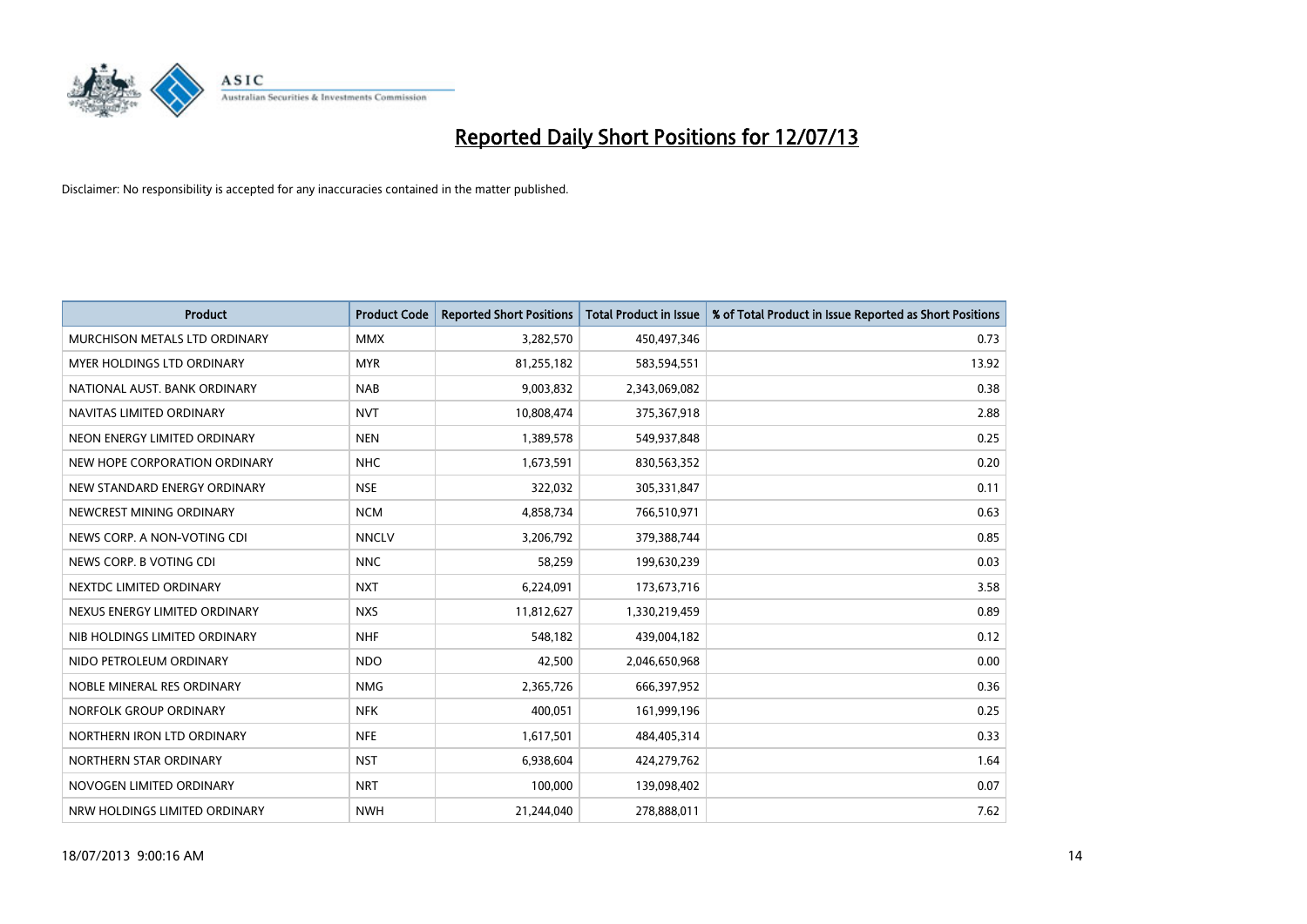

| <b>Product</b>                | <b>Product Code</b> | <b>Reported Short Positions</b> | <b>Total Product in Issue</b> | % of Total Product in Issue Reported as Short Positions |
|-------------------------------|---------------------|---------------------------------|-------------------------------|---------------------------------------------------------|
| MURCHISON METALS LTD ORDINARY | <b>MMX</b>          | 3,282,570                       | 450,497,346                   | 0.73                                                    |
| MYER HOLDINGS LTD ORDINARY    | <b>MYR</b>          | 81,255,182                      | 583,594,551                   | 13.92                                                   |
| NATIONAL AUST. BANK ORDINARY  | <b>NAB</b>          | 9,003,832                       | 2,343,069,082                 | 0.38                                                    |
| NAVITAS LIMITED ORDINARY      | <b>NVT</b>          | 10,808,474                      | 375,367,918                   | 2.88                                                    |
| NEON ENERGY LIMITED ORDINARY  | <b>NEN</b>          | 1,389,578                       | 549,937,848                   | 0.25                                                    |
| NEW HOPE CORPORATION ORDINARY | <b>NHC</b>          | 1,673,591                       | 830,563,352                   | 0.20                                                    |
| NEW STANDARD ENERGY ORDINARY  | <b>NSE</b>          | 322,032                         | 305,331,847                   | 0.11                                                    |
| NEWCREST MINING ORDINARY      | <b>NCM</b>          | 4,858,734                       | 766,510,971                   | 0.63                                                    |
| NEWS CORP. A NON-VOTING CDI   | <b>NNCLV</b>        | 3,206,792                       | 379,388,744                   | 0.85                                                    |
| NEWS CORP. B VOTING CDI       | <b>NNC</b>          | 58,259                          | 199,630,239                   | 0.03                                                    |
| NEXTDC LIMITED ORDINARY       | <b>NXT</b>          | 6,224,091                       | 173,673,716                   | 3.58                                                    |
| NEXUS ENERGY LIMITED ORDINARY | <b>NXS</b>          | 11,812,627                      | 1,330,219,459                 | 0.89                                                    |
| NIB HOLDINGS LIMITED ORDINARY | <b>NHF</b>          | 548,182                         | 439,004,182                   | 0.12                                                    |
| NIDO PETROLEUM ORDINARY       | <b>NDO</b>          | 42,500                          | 2,046,650,968                 | 0.00                                                    |
| NOBLE MINERAL RES ORDINARY    | <b>NMG</b>          | 2,365,726                       | 666,397,952                   | 0.36                                                    |
| NORFOLK GROUP ORDINARY        | <b>NFK</b>          | 400,051                         | 161,999,196                   | 0.25                                                    |
| NORTHERN IRON LTD ORDINARY    | <b>NFE</b>          | 1,617,501                       | 484,405,314                   | 0.33                                                    |
| NORTHERN STAR ORDINARY        | <b>NST</b>          | 6,938,604                       | 424,279,762                   | 1.64                                                    |
| NOVOGEN LIMITED ORDINARY      | <b>NRT</b>          | 100,000                         | 139,098,402                   | 0.07                                                    |
| NRW HOLDINGS LIMITED ORDINARY | <b>NWH</b>          | 21,244,040                      | 278,888,011                   | 7.62                                                    |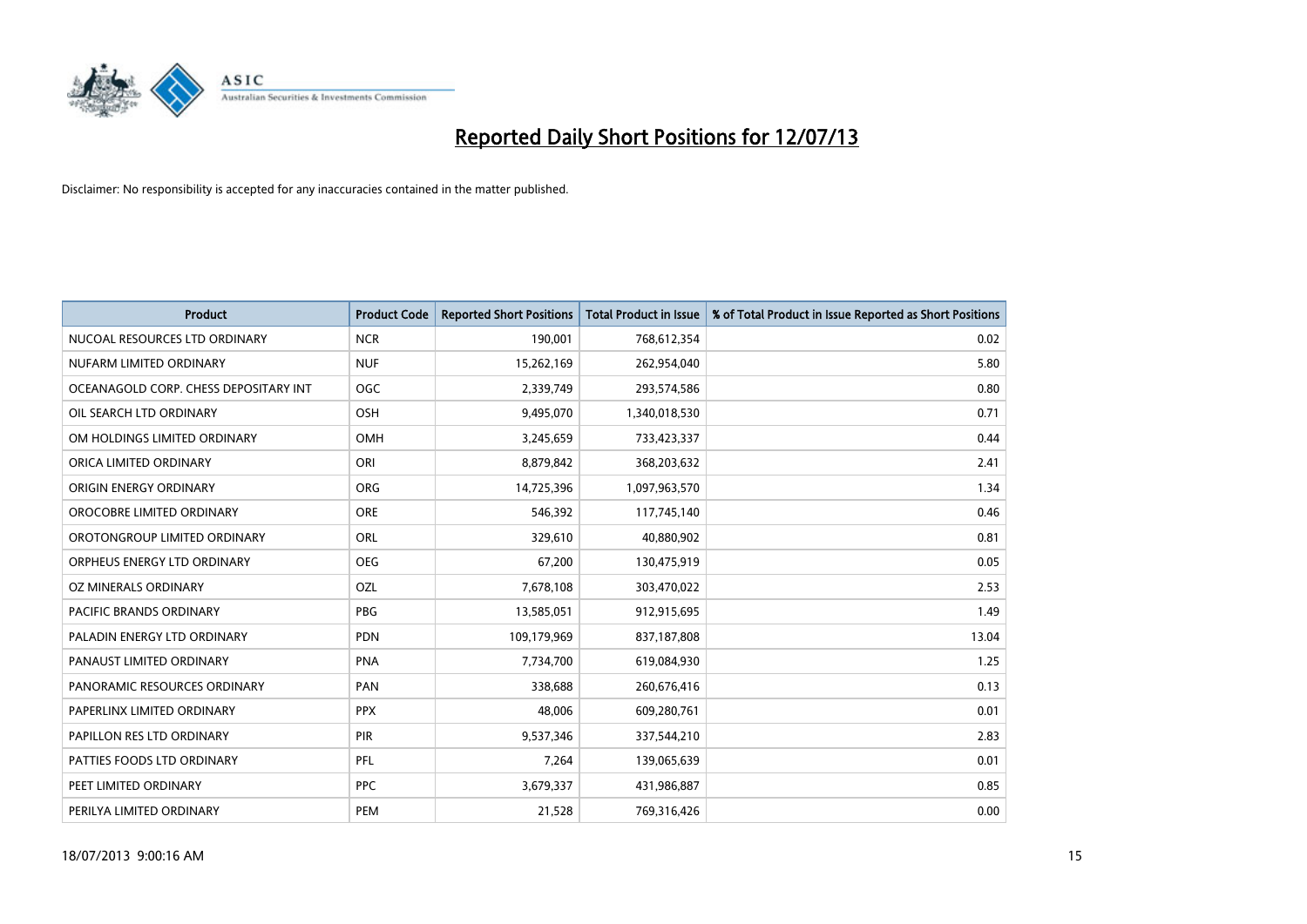

| <b>Product</b>                        | <b>Product Code</b> | <b>Reported Short Positions</b> | <b>Total Product in Issue</b> | % of Total Product in Issue Reported as Short Positions |
|---------------------------------------|---------------------|---------------------------------|-------------------------------|---------------------------------------------------------|
| NUCOAL RESOURCES LTD ORDINARY         | <b>NCR</b>          | 190,001                         | 768,612,354                   | 0.02                                                    |
| NUFARM LIMITED ORDINARY               | <b>NUF</b>          | 15,262,169                      | 262,954,040                   | 5.80                                                    |
| OCEANAGOLD CORP. CHESS DEPOSITARY INT | <b>OGC</b>          | 2,339,749                       | 293,574,586                   | 0.80                                                    |
| OIL SEARCH LTD ORDINARY               | OSH                 | 9,495,070                       | 1,340,018,530                 | 0.71                                                    |
| OM HOLDINGS LIMITED ORDINARY          | OMH                 | 3,245,659                       | 733,423,337                   | 0.44                                                    |
| ORICA LIMITED ORDINARY                | ORI                 | 8,879,842                       | 368,203,632                   | 2.41                                                    |
| ORIGIN ENERGY ORDINARY                | <b>ORG</b>          | 14,725,396                      | 1,097,963,570                 | 1.34                                                    |
| OROCOBRE LIMITED ORDINARY             | <b>ORE</b>          | 546,392                         | 117,745,140                   | 0.46                                                    |
| OROTONGROUP LIMITED ORDINARY          | ORL                 | 329,610                         | 40,880,902                    | 0.81                                                    |
| ORPHEUS ENERGY LTD ORDINARY           | <b>OEG</b>          | 67,200                          | 130,475,919                   | 0.05                                                    |
| OZ MINERALS ORDINARY                  | OZL                 | 7,678,108                       | 303,470,022                   | 2.53                                                    |
| PACIFIC BRANDS ORDINARY               | <b>PBG</b>          | 13,585,051                      | 912,915,695                   | 1.49                                                    |
| PALADIN ENERGY LTD ORDINARY           | <b>PDN</b>          | 109,179,969                     | 837,187,808                   | 13.04                                                   |
| PANAUST LIMITED ORDINARY              | <b>PNA</b>          | 7,734,700                       | 619,084,930                   | 1.25                                                    |
| PANORAMIC RESOURCES ORDINARY          | PAN                 | 338,688                         | 260,676,416                   | 0.13                                                    |
| PAPERLINX LIMITED ORDINARY            | <b>PPX</b>          | 48,006                          | 609,280,761                   | 0.01                                                    |
| PAPILLON RES LTD ORDINARY             | <b>PIR</b>          | 9,537,346                       | 337,544,210                   | 2.83                                                    |
| PATTIES FOODS LTD ORDINARY            | <b>PFL</b>          | 7,264                           | 139,065,639                   | 0.01                                                    |
| PEET LIMITED ORDINARY                 | <b>PPC</b>          | 3,679,337                       | 431,986,887                   | 0.85                                                    |
| PERILYA LIMITED ORDINARY              | PEM                 | 21,528                          | 769,316,426                   | 0.00                                                    |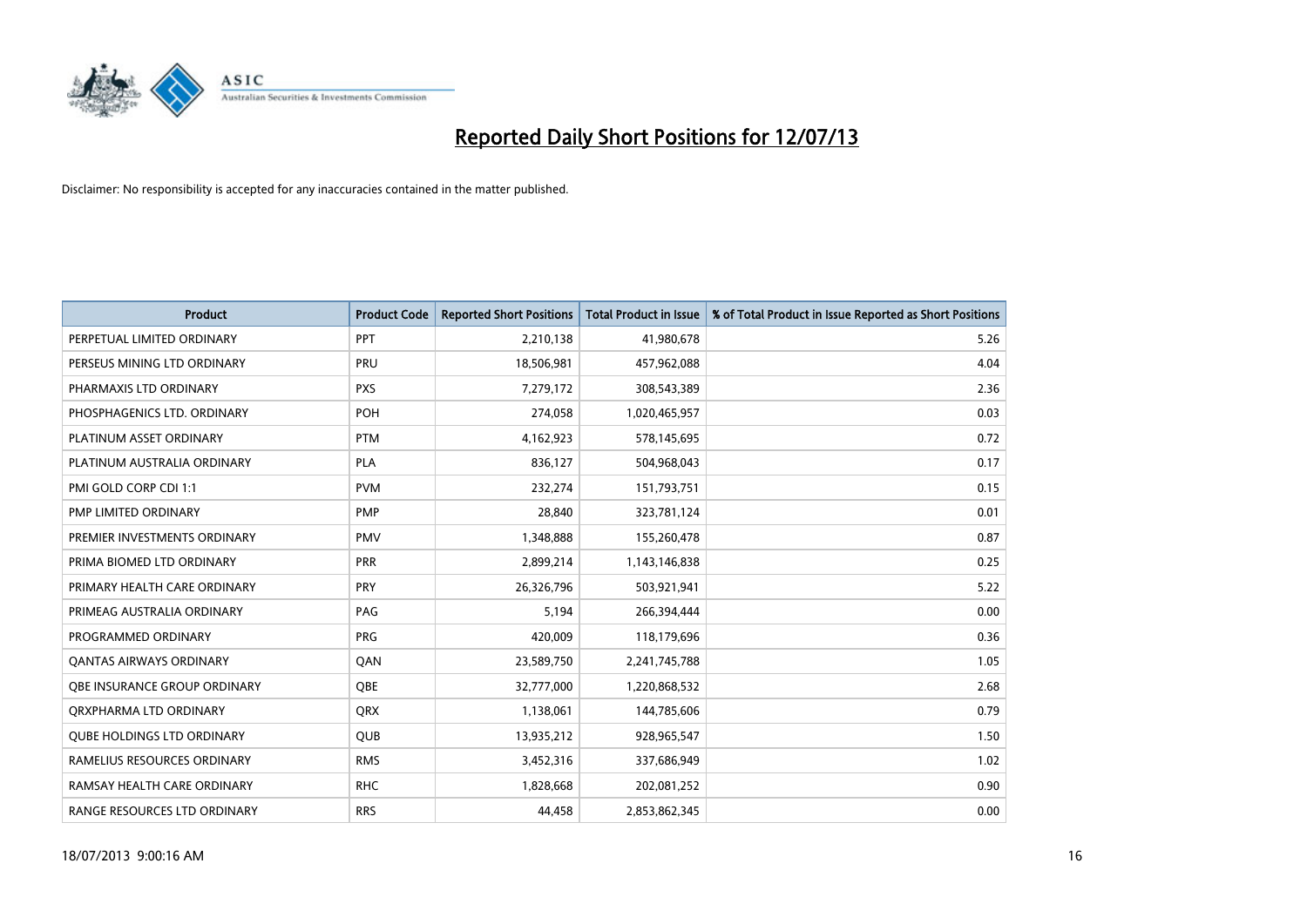

| <b>Product</b>                    | <b>Product Code</b> | <b>Reported Short Positions</b> | <b>Total Product in Issue</b> | % of Total Product in Issue Reported as Short Positions |
|-----------------------------------|---------------------|---------------------------------|-------------------------------|---------------------------------------------------------|
| PERPETUAL LIMITED ORDINARY        | PPT                 | 2,210,138                       | 41,980,678                    | 5.26                                                    |
| PERSEUS MINING LTD ORDINARY       | <b>PRU</b>          | 18,506,981                      | 457,962,088                   | 4.04                                                    |
| PHARMAXIS LTD ORDINARY            | <b>PXS</b>          | 7,279,172                       | 308,543,389                   | 2.36                                                    |
| PHOSPHAGENICS LTD. ORDINARY       | POH                 | 274,058                         | 1,020,465,957                 | 0.03                                                    |
| PLATINUM ASSET ORDINARY           | <b>PTM</b>          | 4,162,923                       | 578,145,695                   | 0.72                                                    |
| PLATINUM AUSTRALIA ORDINARY       | <b>PLA</b>          | 836,127                         | 504,968,043                   | 0.17                                                    |
| PMI GOLD CORP CDI 1:1             | <b>PVM</b>          | 232,274                         | 151,793,751                   | 0.15                                                    |
| PMP LIMITED ORDINARY              | <b>PMP</b>          | 28,840                          | 323,781,124                   | 0.01                                                    |
| PREMIER INVESTMENTS ORDINARY      | <b>PMV</b>          | 1,348,888                       | 155,260,478                   | 0.87                                                    |
| PRIMA BIOMED LTD ORDINARY         | <b>PRR</b>          | 2,899,214                       | 1,143,146,838                 | 0.25                                                    |
| PRIMARY HEALTH CARE ORDINARY      | <b>PRY</b>          | 26,326,796                      | 503,921,941                   | 5.22                                                    |
| PRIMEAG AUSTRALIA ORDINARY        | PAG                 | 5,194                           | 266,394,444                   | 0.00                                                    |
| PROGRAMMED ORDINARY               | <b>PRG</b>          | 420,009                         | 118,179,696                   | 0.36                                                    |
| <b>QANTAS AIRWAYS ORDINARY</b>    | QAN                 | 23,589,750                      | 2,241,745,788                 | 1.05                                                    |
| OBE INSURANCE GROUP ORDINARY      | <b>OBE</b>          | 32,777,000                      | 1,220,868,532                 | 2.68                                                    |
| QRXPHARMA LTD ORDINARY            | <b>QRX</b>          | 1,138,061                       | 144,785,606                   | 0.79                                                    |
| <b>QUBE HOLDINGS LTD ORDINARY</b> | QUB                 | 13,935,212                      | 928,965,547                   | 1.50                                                    |
| RAMELIUS RESOURCES ORDINARY       | <b>RMS</b>          | 3,452,316                       | 337,686,949                   | 1.02                                                    |
| RAMSAY HEALTH CARE ORDINARY       | <b>RHC</b>          | 1,828,668                       | 202,081,252                   | 0.90                                                    |
| RANGE RESOURCES LTD ORDINARY      | <b>RRS</b>          | 44,458                          | 2,853,862,345                 | 0.00                                                    |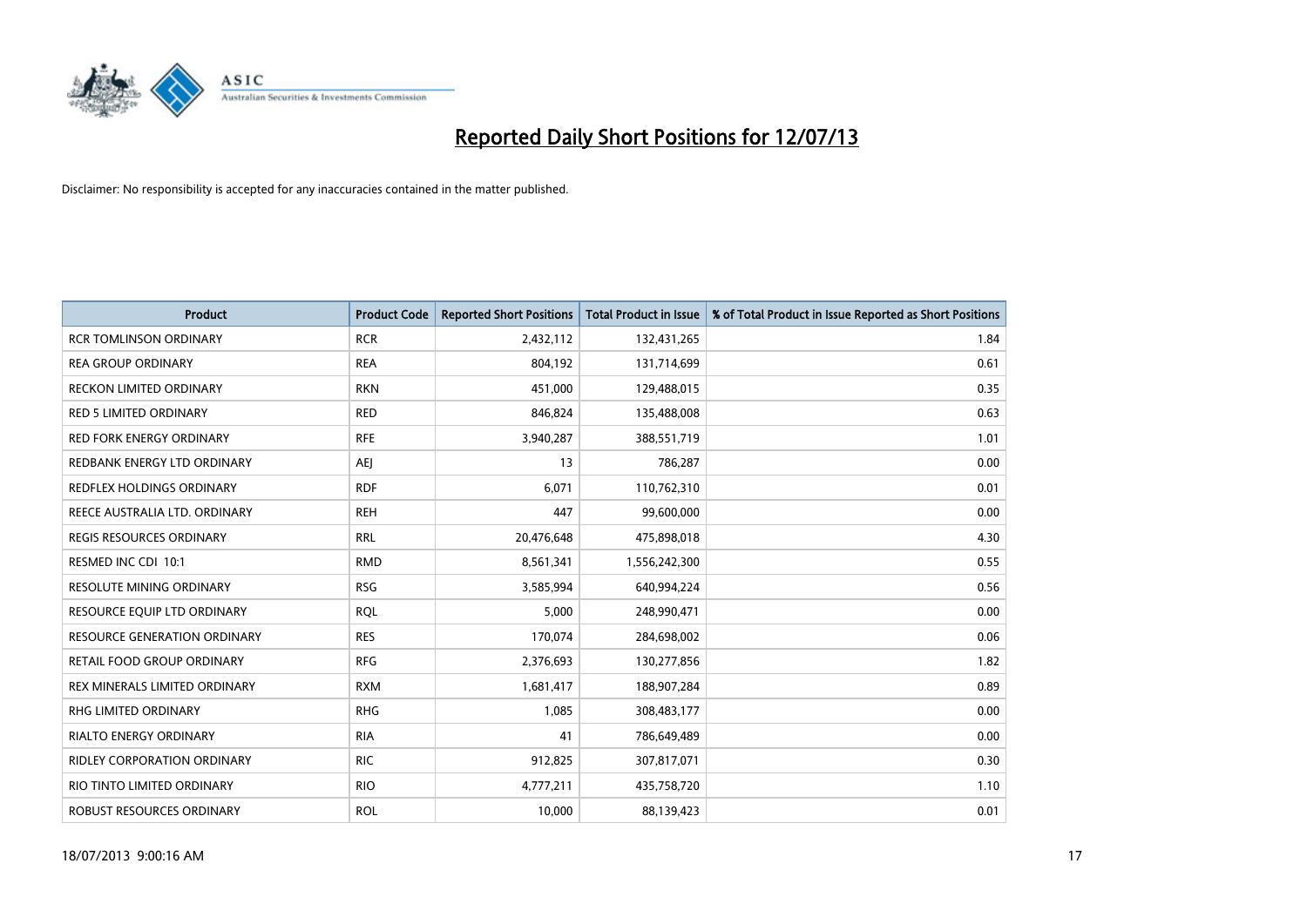

| <b>Product</b>                      | <b>Product Code</b> | <b>Reported Short Positions</b> | <b>Total Product in Issue</b> | % of Total Product in Issue Reported as Short Positions |
|-------------------------------------|---------------------|---------------------------------|-------------------------------|---------------------------------------------------------|
| <b>RCR TOMLINSON ORDINARY</b>       | <b>RCR</b>          | 2,432,112                       | 132,431,265                   | 1.84                                                    |
| <b>REA GROUP ORDINARY</b>           | <b>REA</b>          | 804,192                         | 131,714,699                   | 0.61                                                    |
| <b>RECKON LIMITED ORDINARY</b>      | <b>RKN</b>          | 451,000                         | 129,488,015                   | 0.35                                                    |
| <b>RED 5 LIMITED ORDINARY</b>       | <b>RED</b>          | 846,824                         | 135,488,008                   | 0.63                                                    |
| <b>RED FORK ENERGY ORDINARY</b>     | <b>RFE</b>          | 3,940,287                       | 388,551,719                   | 1.01                                                    |
| REDBANK ENERGY LTD ORDINARY         | <b>AEJ</b>          | 13                              | 786,287                       | 0.00                                                    |
| REDFLEX HOLDINGS ORDINARY           | <b>RDF</b>          | 6,071                           | 110,762,310                   | 0.01                                                    |
| REECE AUSTRALIA LTD. ORDINARY       | <b>REH</b>          | 447                             | 99,600,000                    | 0.00                                                    |
| REGIS RESOURCES ORDINARY            | <b>RRL</b>          | 20,476,648                      | 475,898,018                   | 4.30                                                    |
| RESMED INC CDI 10:1                 | <b>RMD</b>          | 8,561,341                       | 1,556,242,300                 | 0.55                                                    |
| RESOLUTE MINING ORDINARY            | <b>RSG</b>          | 3,585,994                       | 640,994,224                   | 0.56                                                    |
| RESOURCE EQUIP LTD ORDINARY         | <b>RQL</b>          | 5,000                           | 248,990,471                   | 0.00                                                    |
| <b>RESOURCE GENERATION ORDINARY</b> | <b>RES</b>          | 170,074                         | 284,698,002                   | 0.06                                                    |
| RETAIL FOOD GROUP ORDINARY          | <b>RFG</b>          | 2,376,693                       | 130,277,856                   | 1.82                                                    |
| REX MINERALS LIMITED ORDINARY       | <b>RXM</b>          | 1,681,417                       | 188,907,284                   | 0.89                                                    |
| <b>RHG LIMITED ORDINARY</b>         | <b>RHG</b>          | 1,085                           | 308,483,177                   | 0.00                                                    |
| <b>RIALTO ENERGY ORDINARY</b>       | <b>RIA</b>          | 41                              | 786,649,489                   | 0.00                                                    |
| <b>RIDLEY CORPORATION ORDINARY</b>  | <b>RIC</b>          | 912,825                         | 307,817,071                   | 0.30                                                    |
| RIO TINTO LIMITED ORDINARY          | <b>RIO</b>          | 4,777,211                       | 435,758,720                   | 1.10                                                    |
| ROBUST RESOURCES ORDINARY           | <b>ROL</b>          | 10,000                          | 88,139,423                    | 0.01                                                    |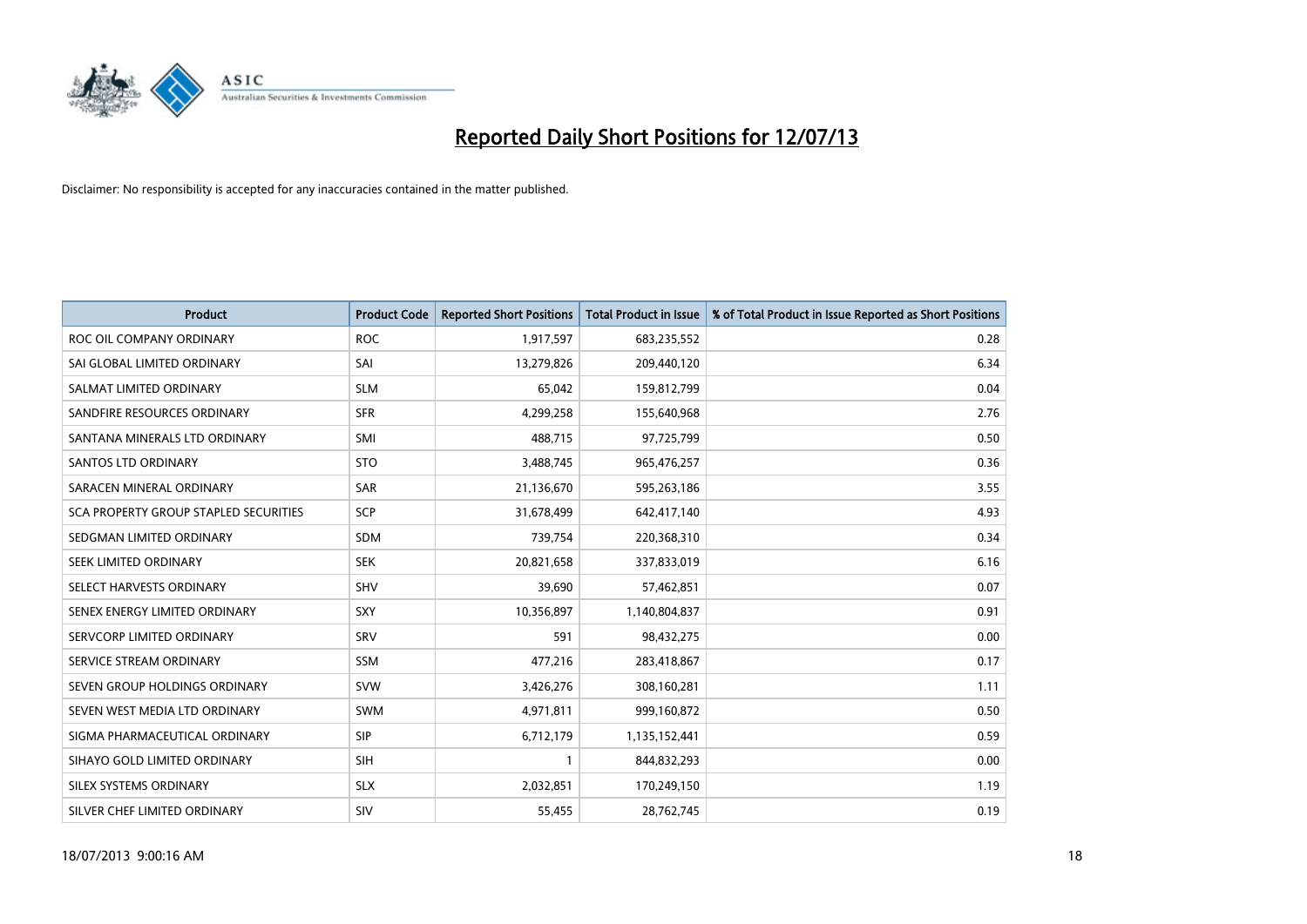

| <b>Product</b>                        | <b>Product Code</b> | <b>Reported Short Positions</b> | <b>Total Product in Issue</b> | % of Total Product in Issue Reported as Short Positions |
|---------------------------------------|---------------------|---------------------------------|-------------------------------|---------------------------------------------------------|
| ROC OIL COMPANY ORDINARY              | <b>ROC</b>          | 1,917,597                       | 683,235,552                   | 0.28                                                    |
| SAI GLOBAL LIMITED ORDINARY           | SAI                 | 13,279,826                      | 209,440,120                   | 6.34                                                    |
| SALMAT LIMITED ORDINARY               | <b>SLM</b>          | 65,042                          | 159,812,799                   | 0.04                                                    |
| SANDFIRE RESOURCES ORDINARY           | <b>SFR</b>          | 4,299,258                       | 155,640,968                   | 2.76                                                    |
| SANTANA MINERALS LTD ORDINARY         | SMI                 | 488,715                         | 97,725,799                    | 0.50                                                    |
| SANTOS LTD ORDINARY                   | <b>STO</b>          | 3,488,745                       | 965,476,257                   | 0.36                                                    |
| SARACEN MINERAL ORDINARY              | <b>SAR</b>          | 21,136,670                      | 595,263,186                   | 3.55                                                    |
| SCA PROPERTY GROUP STAPLED SECURITIES | <b>SCP</b>          | 31,678,499                      | 642,417,140                   | 4.93                                                    |
| SEDGMAN LIMITED ORDINARY              | <b>SDM</b>          | 739,754                         | 220,368,310                   | 0.34                                                    |
| SEEK LIMITED ORDINARY                 | <b>SEK</b>          | 20,821,658                      | 337,833,019                   | 6.16                                                    |
| SELECT HARVESTS ORDINARY              | SHV                 | 39,690                          | 57,462,851                    | 0.07                                                    |
| SENEX ENERGY LIMITED ORDINARY         | <b>SXY</b>          | 10,356,897                      | 1,140,804,837                 | 0.91                                                    |
| SERVCORP LIMITED ORDINARY             | SRV                 | 591                             | 98,432,275                    | 0.00                                                    |
| SERVICE STREAM ORDINARY               | SSM                 | 477,216                         | 283,418,867                   | 0.17                                                    |
| SEVEN GROUP HOLDINGS ORDINARY         | <b>SVW</b>          | 3,426,276                       | 308,160,281                   | 1.11                                                    |
| SEVEN WEST MEDIA LTD ORDINARY         | SWM                 | 4,971,811                       | 999,160,872                   | 0.50                                                    |
| SIGMA PHARMACEUTICAL ORDINARY         | <b>SIP</b>          | 6,712,179                       | 1,135,152,441                 | 0.59                                                    |
| SIHAYO GOLD LIMITED ORDINARY          | <b>SIH</b>          | 1                               | 844,832,293                   | 0.00                                                    |
| SILEX SYSTEMS ORDINARY                | <b>SLX</b>          | 2,032,851                       | 170,249,150                   | 1.19                                                    |
| SILVER CHEF LIMITED ORDINARY          | SIV                 | 55,455                          | 28,762,745                    | 0.19                                                    |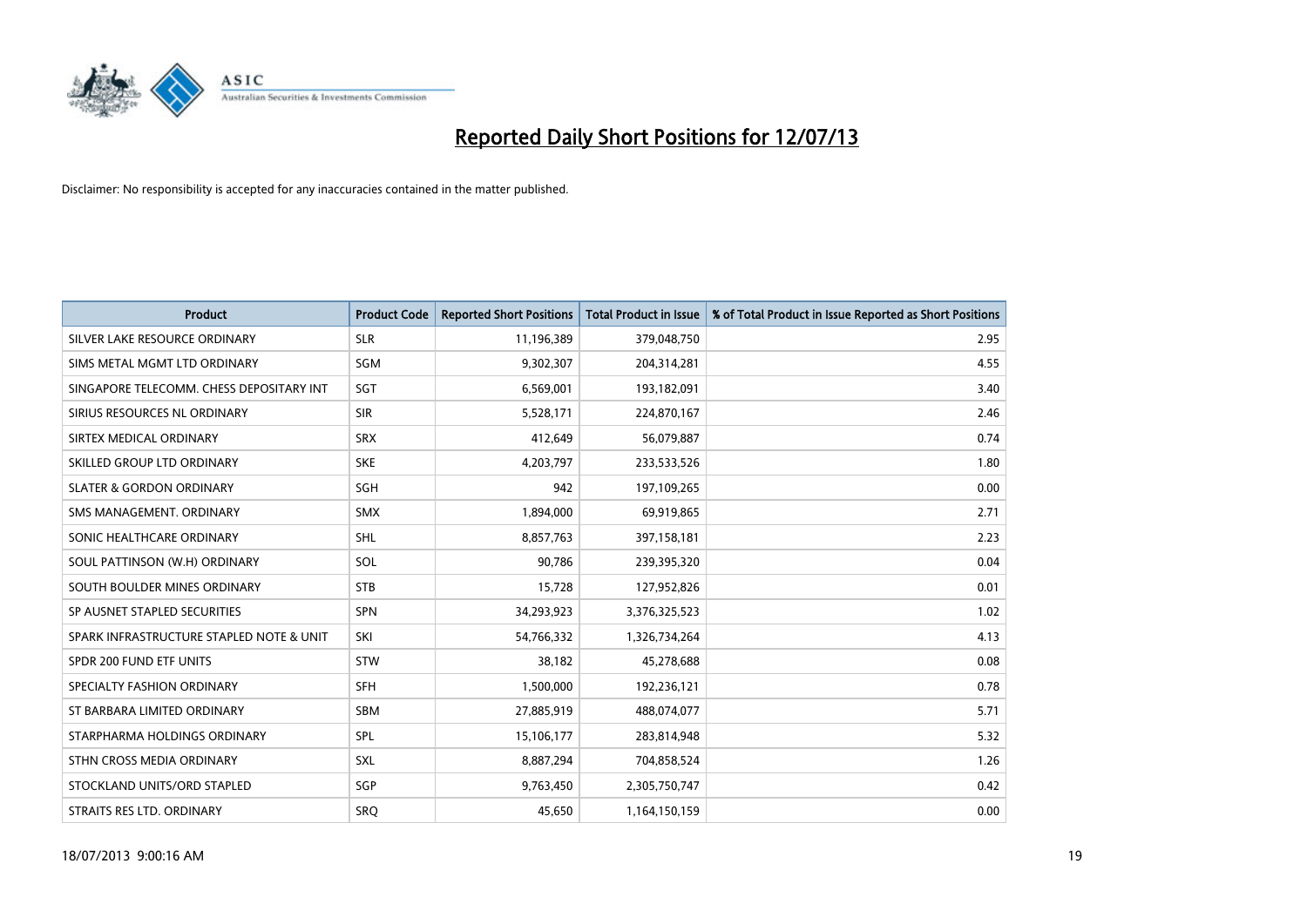

| <b>Product</b>                           | <b>Product Code</b> | <b>Reported Short Positions</b> | <b>Total Product in Issue</b> | % of Total Product in Issue Reported as Short Positions |
|------------------------------------------|---------------------|---------------------------------|-------------------------------|---------------------------------------------------------|
| SILVER LAKE RESOURCE ORDINARY            | <b>SLR</b>          | 11,196,389                      | 379,048,750                   | 2.95                                                    |
| SIMS METAL MGMT LTD ORDINARY             | <b>SGM</b>          | 9,302,307                       | 204,314,281                   | 4.55                                                    |
| SINGAPORE TELECOMM. CHESS DEPOSITARY INT | SGT                 | 6,569,001                       | 193,182,091                   | 3.40                                                    |
| SIRIUS RESOURCES NL ORDINARY             | <b>SIR</b>          | 5,528,171                       | 224,870,167                   | 2.46                                                    |
| SIRTEX MEDICAL ORDINARY                  | <b>SRX</b>          | 412,649                         | 56,079,887                    | 0.74                                                    |
| SKILLED GROUP LTD ORDINARY               | <b>SKE</b>          | 4,203,797                       | 233,533,526                   | 1.80                                                    |
| <b>SLATER &amp; GORDON ORDINARY</b>      | <b>SGH</b>          | 942                             | 197,109,265                   | 0.00                                                    |
| SMS MANAGEMENT, ORDINARY                 | SMX                 | 1,894,000                       | 69,919,865                    | 2.71                                                    |
| SONIC HEALTHCARE ORDINARY                | <b>SHL</b>          | 8,857,763                       | 397,158,181                   | 2.23                                                    |
| SOUL PATTINSON (W.H) ORDINARY            | SOL                 | 90,786                          | 239,395,320                   | 0.04                                                    |
| SOUTH BOULDER MINES ORDINARY             | <b>STB</b>          | 15,728                          | 127,952,826                   | 0.01                                                    |
| SP AUSNET STAPLED SECURITIES             | <b>SPN</b>          | 34,293,923                      | 3,376,325,523                 | 1.02                                                    |
| SPARK INFRASTRUCTURE STAPLED NOTE & UNIT | SKI                 | 54,766,332                      | 1,326,734,264                 | 4.13                                                    |
| SPDR 200 FUND ETF UNITS                  | <b>STW</b>          | 38,182                          | 45,278,688                    | 0.08                                                    |
| SPECIALTY FASHION ORDINARY               | <b>SFH</b>          | 1,500,000                       | 192,236,121                   | 0.78                                                    |
| ST BARBARA LIMITED ORDINARY              | SBM                 | 27,885,919                      | 488,074,077                   | 5.71                                                    |
| STARPHARMA HOLDINGS ORDINARY             | SPL                 | 15,106,177                      | 283,814,948                   | 5.32                                                    |
| STHN CROSS MEDIA ORDINARY                | <b>SXL</b>          | 8,887,294                       | 704,858,524                   | 1.26                                                    |
| STOCKLAND UNITS/ORD STAPLED              | SGP                 | 9,763,450                       | 2,305,750,747                 | 0.42                                                    |
| STRAITS RES LTD. ORDINARY                | SRO                 | 45,650                          | 1,164,150,159                 | 0.00                                                    |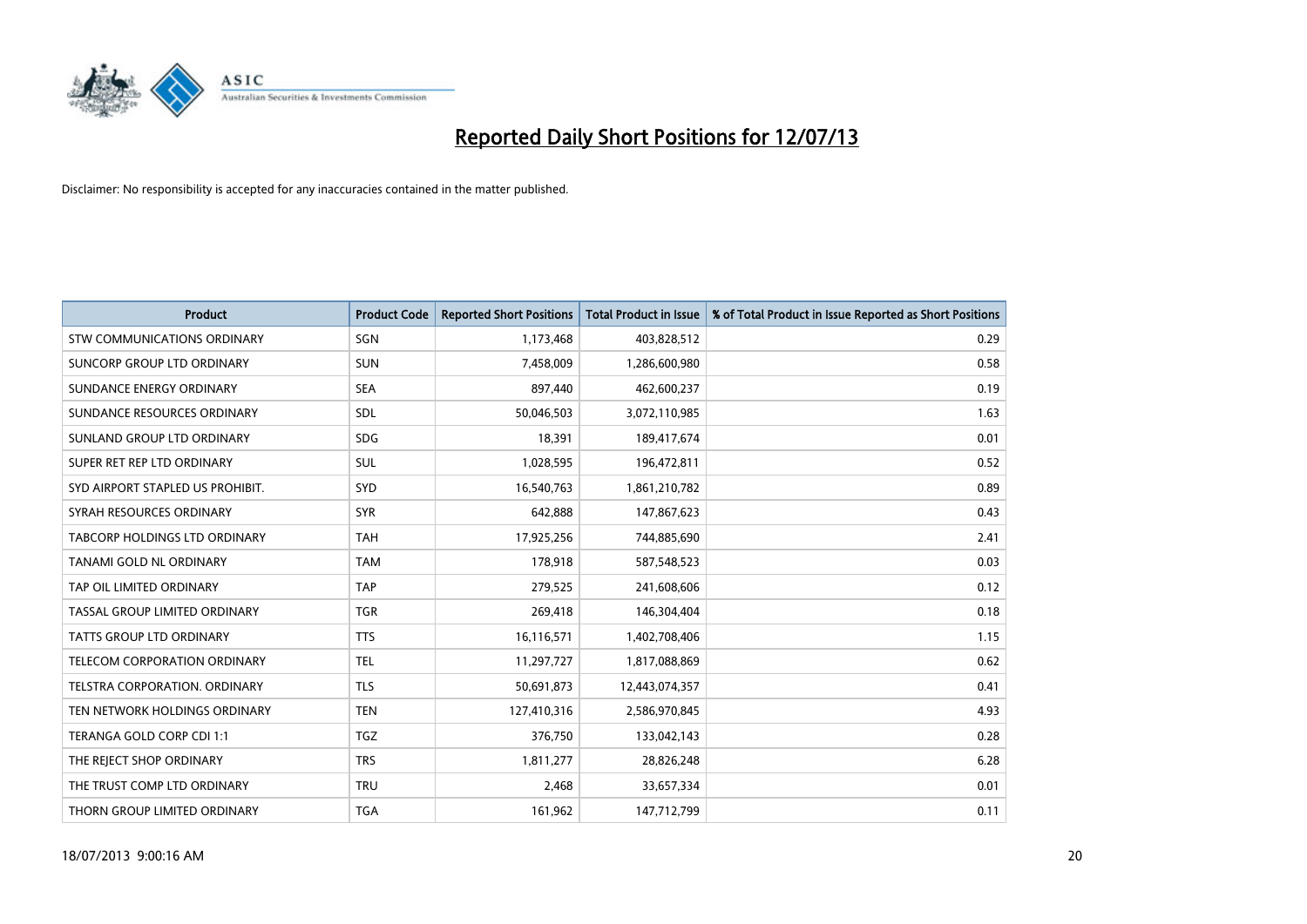

| <b>Product</b>                     | <b>Product Code</b> | <b>Reported Short Positions</b> | <b>Total Product in Issue</b> | % of Total Product in Issue Reported as Short Positions |
|------------------------------------|---------------------|---------------------------------|-------------------------------|---------------------------------------------------------|
| <b>STW COMMUNICATIONS ORDINARY</b> | SGN                 | 1,173,468                       | 403,828,512                   | 0.29                                                    |
| SUNCORP GROUP LTD ORDINARY         | <b>SUN</b>          | 7,458,009                       | 1,286,600,980                 | 0.58                                                    |
| SUNDANCE ENERGY ORDINARY           | <b>SEA</b>          | 897,440                         | 462,600,237                   | 0.19                                                    |
| SUNDANCE RESOURCES ORDINARY        | SDL                 | 50,046,503                      | 3,072,110,985                 | 1.63                                                    |
| SUNLAND GROUP LTD ORDINARY         | <b>SDG</b>          | 18,391                          | 189,417,674                   | 0.01                                                    |
| SUPER RET REP LTD ORDINARY         | <b>SUL</b>          | 1,028,595                       | 196,472,811                   | 0.52                                                    |
| SYD AIRPORT STAPLED US PROHIBIT.   | <b>SYD</b>          | 16,540,763                      | 1,861,210,782                 | 0.89                                                    |
| SYRAH RESOURCES ORDINARY           | <b>SYR</b>          | 642,888                         | 147,867,623                   | 0.43                                                    |
| TABCORP HOLDINGS LTD ORDINARY      | <b>TAH</b>          | 17,925,256                      | 744,885,690                   | 2.41                                                    |
| <b>TANAMI GOLD NL ORDINARY</b>     | <b>TAM</b>          | 178,918                         | 587,548,523                   | 0.03                                                    |
| TAP OIL LIMITED ORDINARY           | <b>TAP</b>          | 279,525                         | 241,608,606                   | 0.12                                                    |
| TASSAL GROUP LIMITED ORDINARY      | <b>TGR</b>          | 269,418                         | 146,304,404                   | 0.18                                                    |
| TATTS GROUP LTD ORDINARY           | <b>TTS</b>          | 16,116,571                      | 1,402,708,406                 | 1.15                                                    |
| TELECOM CORPORATION ORDINARY       | <b>TEL</b>          | 11,297,727                      | 1,817,088,869                 | 0.62                                                    |
| TELSTRA CORPORATION. ORDINARY      | <b>TLS</b>          | 50,691,873                      | 12,443,074,357                | 0.41                                                    |
| TEN NETWORK HOLDINGS ORDINARY      | <b>TEN</b>          | 127,410,316                     | 2,586,970,845                 | 4.93                                                    |
| TERANGA GOLD CORP CDI 1:1          | <b>TGZ</b>          | 376,750                         | 133,042,143                   | 0.28                                                    |
| THE REJECT SHOP ORDINARY           | <b>TRS</b>          | 1,811,277                       | 28,826,248                    | 6.28                                                    |
| THE TRUST COMP LTD ORDINARY        | <b>TRU</b>          | 2,468                           | 33,657,334                    | 0.01                                                    |
| THORN GROUP LIMITED ORDINARY       | <b>TGA</b>          | 161,962                         | 147,712,799                   | 0.11                                                    |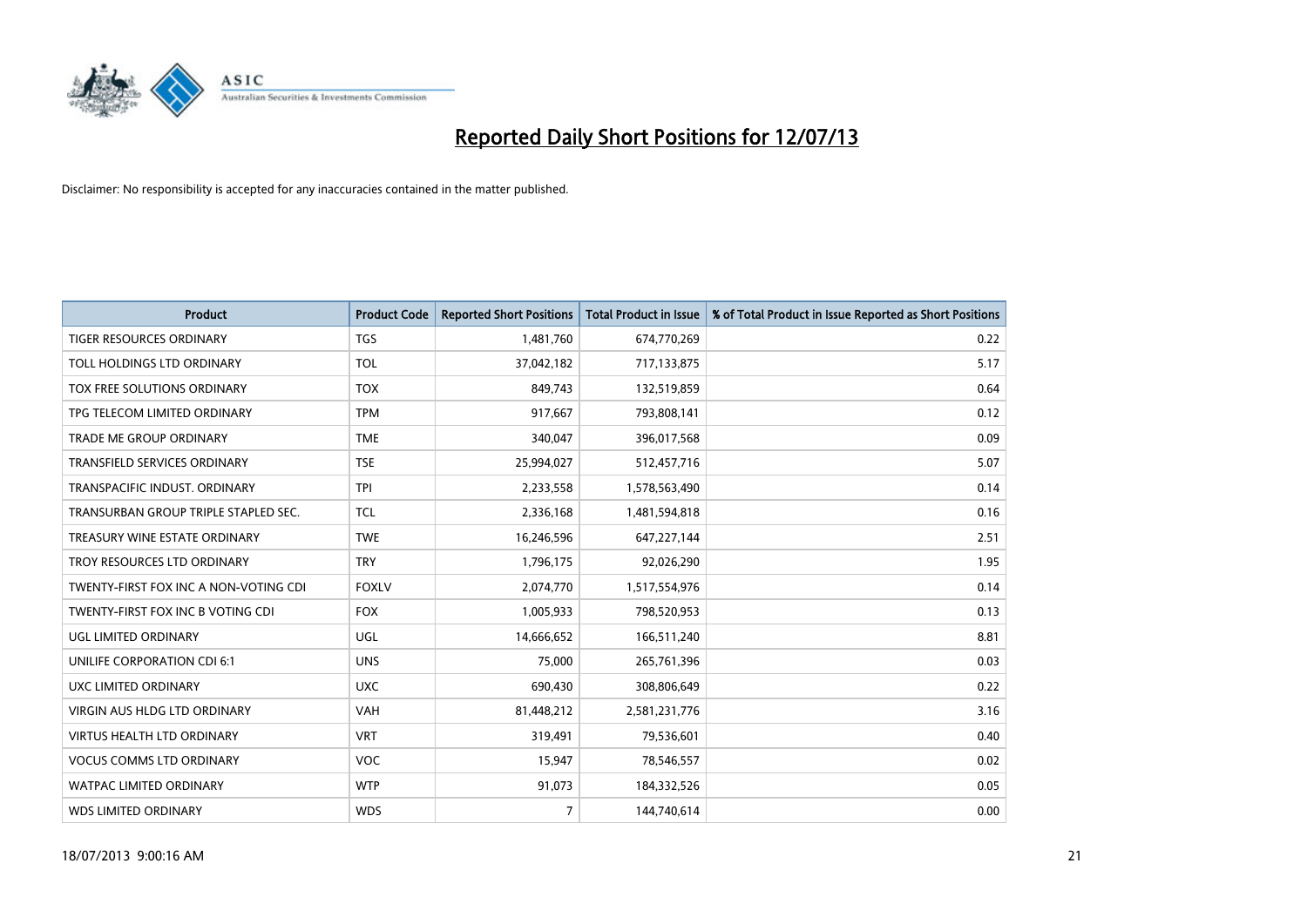

| <b>Product</b>                        | <b>Product Code</b> | <b>Reported Short Positions</b> | <b>Total Product in Issue</b> | % of Total Product in Issue Reported as Short Positions |
|---------------------------------------|---------------------|---------------------------------|-------------------------------|---------------------------------------------------------|
| <b>TIGER RESOURCES ORDINARY</b>       | <b>TGS</b>          | 1,481,760                       | 674,770,269                   | 0.22                                                    |
| TOLL HOLDINGS LTD ORDINARY            | <b>TOL</b>          | 37,042,182                      | 717,133,875                   | 5.17                                                    |
| TOX FREE SOLUTIONS ORDINARY           | <b>TOX</b>          | 849,743                         | 132,519,859                   | 0.64                                                    |
| TPG TELECOM LIMITED ORDINARY          | <b>TPM</b>          | 917,667                         | 793,808,141                   | 0.12                                                    |
| <b>TRADE ME GROUP ORDINARY</b>        | <b>TME</b>          | 340,047                         | 396,017,568                   | 0.09                                                    |
| <b>TRANSFIELD SERVICES ORDINARY</b>   | <b>TSE</b>          | 25,994,027                      | 512,457,716                   | 5.07                                                    |
| TRANSPACIFIC INDUST, ORDINARY         | <b>TPI</b>          | 2,233,558                       | 1,578,563,490                 | 0.14                                                    |
| TRANSURBAN GROUP TRIPLE STAPLED SEC.  | <b>TCL</b>          | 2,336,168                       | 1,481,594,818                 | 0.16                                                    |
| TREASURY WINE ESTATE ORDINARY         | <b>TWE</b>          | 16,246,596                      | 647,227,144                   | 2.51                                                    |
| TROY RESOURCES LTD ORDINARY           | <b>TRY</b>          | 1,796,175                       | 92,026,290                    | 1.95                                                    |
| TWENTY-FIRST FOX INC A NON-VOTING CDI | <b>FOXLV</b>        | 2,074,770                       | 1,517,554,976                 | 0.14                                                    |
| TWENTY-FIRST FOX INC B VOTING CDI     | <b>FOX</b>          | 1,005,933                       | 798,520,953                   | 0.13                                                    |
| UGL LIMITED ORDINARY                  | UGL                 | 14,666,652                      | 166,511,240                   | 8.81                                                    |
| UNILIFE CORPORATION CDI 6:1           | <b>UNS</b>          | 75,000                          | 265,761,396                   | 0.03                                                    |
| UXC LIMITED ORDINARY                  | <b>UXC</b>          | 690,430                         | 308,806,649                   | 0.22                                                    |
| <b>VIRGIN AUS HLDG LTD ORDINARY</b>   | VAH                 | 81,448,212                      | 2,581,231,776                 | 3.16                                                    |
| <b>VIRTUS HEALTH LTD ORDINARY</b>     | <b>VRT</b>          | 319,491                         | 79,536,601                    | 0.40                                                    |
| <b>VOCUS COMMS LTD ORDINARY</b>       | VOC                 | 15,947                          | 78,546,557                    | 0.02                                                    |
| <b>WATPAC LIMITED ORDINARY</b>        | <b>WTP</b>          | 91,073                          | 184,332,526                   | 0.05                                                    |
| <b>WDS LIMITED ORDINARY</b>           | <b>WDS</b>          | $\overline{7}$                  | 144,740,614                   | 0.00                                                    |